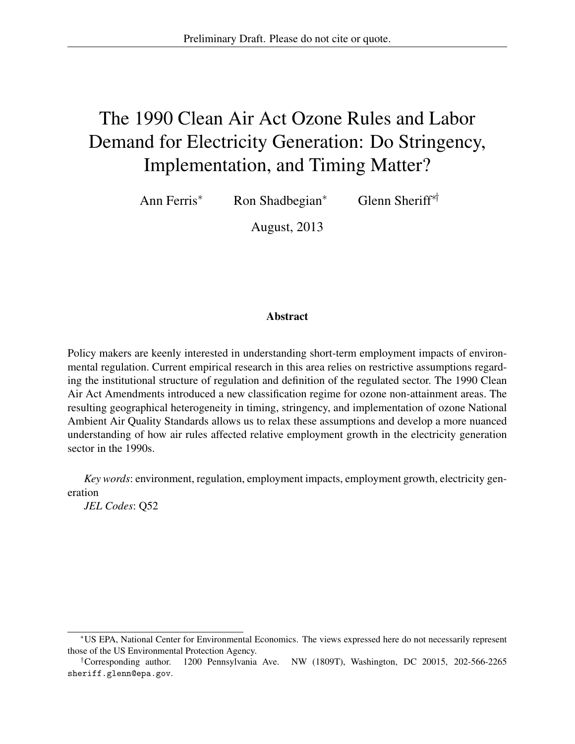# The 1990 Clean Air Act Ozone Rules and Labor Demand for Electricity Generation: Do Stringency, Implementation, and Timing Matter?

Ann Ferris\* Ron Shadbegian\* Glenn Sheriff\*†

August, 2013

#### Abstract

Policy makers are keenly interested in understanding short-term employment impacts of environmental regulation. Current empirical research in this area relies on restrictive assumptions regarding the institutional structure of regulation and definition of the regulated sector. The 1990 Clean Air Act Amendments introduced a new classification regime for ozone non-attainment areas. The resulting geographical heterogeneity in timing, stringency, and implementation of ozone National Ambient Air Quality Standards allows us to relax these assumptions and develop a more nuanced understanding of how air rules affected relative employment growth in the electricity generation sector in the 1990s.

*Key words*: environment, regulation, employment impacts, employment growth, electricity generation

*JEL Codes*: Q52

<sup>\*</sup>US EPA, National Center for Environmental Economics. The views expressed here do not necessarily represent those of the US Environmental Protection Agency.

<sup>†</sup>Corresponding author. 1200 Pennsylvania Ave. NW (1809T), Washington, DC 20015, 202-566-2265 sheriff.glenn@epa.gov.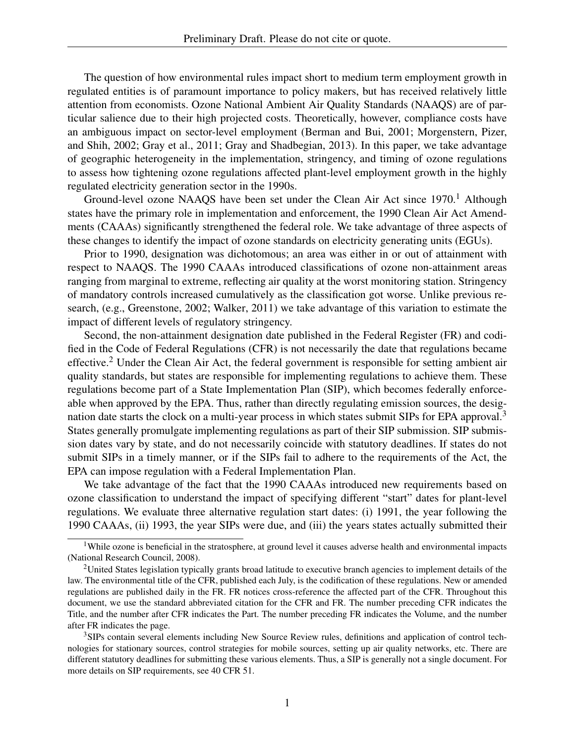The question of how environmental rules impact short to medium term employment growth in regulated entities is of paramount importance to policy makers, but has received relatively little attention from economists. Ozone National Ambient Air Quality Standards (NAAQS) are of particular salience due to their high projected costs. Theoretically, however, compliance costs have an ambiguous impact on sector-level employment (Berman and Bui, 2001; Morgenstern, Pizer, and Shih, 2002; Gray et al., 2011; Gray and Shadbegian, 2013). In this paper, we take advantage of geographic heterogeneity in the implementation, stringency, and timing of ozone regulations to assess how tightening ozone regulations affected plant-level employment growth in the highly regulated electricity generation sector in the 1990s.

Ground-level ozone NAAQS have been set under the Clean Air Act since  $1970<sup>1</sup>$  Although states have the primary role in implementation and enforcement, the 1990 Clean Air Act Amendments (CAAAs) significantly strengthened the federal role. We take advantage of three aspects of these changes to identify the impact of ozone standards on electricity generating units (EGUs).

Prior to 1990, designation was dichotomous; an area was either in or out of attainment with respect to NAAQS. The 1990 CAAAs introduced classifications of ozone non-attainment areas ranging from marginal to extreme, reflecting air quality at the worst monitoring station. Stringency of mandatory controls increased cumulatively as the classification got worse. Unlike previous research, (e.g., Greenstone, 2002; Walker, 2011) we take advantage of this variation to estimate the impact of different levels of regulatory stringency.

Second, the non-attainment designation date published in the Federal Register (FR) and codified in the Code of Federal Regulations (CFR) is not necessarily the date that regulations became effective.<sup>2</sup> Under the Clean Air Act, the federal government is responsible for setting ambient air quality standards, but states are responsible for implementing regulations to achieve them. These regulations become part of a State Implementation Plan (SIP), which becomes federally enforceable when approved by the EPA. Thus, rather than directly regulating emission sources, the designation date starts the clock on a multi-year process in which states submit SIPs for EPA approval.<sup>3</sup> States generally promulgate implementing regulations as part of their SIP submission. SIP submission dates vary by state, and do not necessarily coincide with statutory deadlines. If states do not submit SIPs in a timely manner, or if the SIPs fail to adhere to the requirements of the Act, the EPA can impose regulation with a Federal Implementation Plan.

We take advantage of the fact that the 1990 CAAAs introduced new requirements based on ozone classification to understand the impact of specifying different "start" dates for plant-level regulations. We evaluate three alternative regulation start dates: (i) 1991, the year following the 1990 CAAAs, (ii) 1993, the year SIPs were due, and (iii) the years states actually submitted their

<sup>3</sup>SIPs contain several elements including New Source Review rules, definitions and application of control technologies for stationary sources, control strategies for mobile sources, setting up air quality networks, etc. There are different statutory deadlines for submitting these various elements. Thus, a SIP is generally not a single document. For more details on SIP requirements, see 40 CFR 51.

<sup>&</sup>lt;sup>1</sup>While ozone is beneficial in the stratosphere, at ground level it causes adverse health and environmental impacts (National Research Council, 2008).

<sup>2</sup>United States legislation typically grants broad latitude to executive branch agencies to implement details of the law. The environmental title of the CFR, published each July, is the codification of these regulations. New or amended regulations are published daily in the FR. FR notices cross-reference the affected part of the CFR. Throughout this document, we use the standard abbreviated citation for the CFR and FR. The number preceding CFR indicates the Title, and the number after CFR indicates the Part. The number preceding FR indicates the Volume, and the number after FR indicates the page.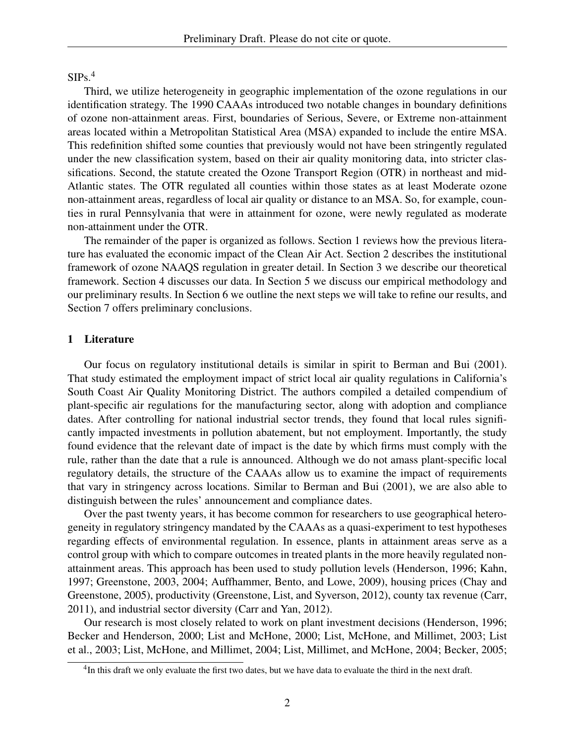$SIPs<sup>4</sup>$ 

Third, we utilize heterogeneity in geographic implementation of the ozone regulations in our identification strategy. The 1990 CAAAs introduced two notable changes in boundary definitions of ozone non-attainment areas. First, boundaries of Serious, Severe, or Extreme non-attainment areas located within a Metropolitan Statistical Area (MSA) expanded to include the entire MSA. This redefinition shifted some counties that previously would not have been stringently regulated under the new classification system, based on their air quality monitoring data, into stricter classifications. Second, the statute created the Ozone Transport Region (OTR) in northeast and mid-Atlantic states. The OTR regulated all counties within those states as at least Moderate ozone non-attainment areas, regardless of local air quality or distance to an MSA. So, for example, counties in rural Pennsylvania that were in attainment for ozone, were newly regulated as moderate non-attainment under the OTR.

The remainder of the paper is organized as follows. Section 1 reviews how the previous literature has evaluated the economic impact of the Clean Air Act. Section 2 describes the institutional framework of ozone NAAQS regulation in greater detail. In Section 3 we describe our theoretical framework. Section 4 discusses our data. In Section 5 we discuss our empirical methodology and our preliminary results. In Section 6 we outline the next steps we will take to refine our results, and Section 7 offers preliminary conclusions.

#### 1 Literature

Our focus on regulatory institutional details is similar in spirit to Berman and Bui (2001). That study estimated the employment impact of strict local air quality regulations in California's South Coast Air Quality Monitoring District. The authors compiled a detailed compendium of plant-specific air regulations for the manufacturing sector, along with adoption and compliance dates. After controlling for national industrial sector trends, they found that local rules significantly impacted investments in pollution abatement, but not employment. Importantly, the study found evidence that the relevant date of impact is the date by which firms must comply with the rule, rather than the date that a rule is announced. Although we do not amass plant-specific local regulatory details, the structure of the CAAAs allow us to examine the impact of requirements that vary in stringency across locations. Similar to Berman and Bui (2001), we are also able to distinguish between the rules' announcement and compliance dates.

Over the past twenty years, it has become common for researchers to use geographical heterogeneity in regulatory stringency mandated by the CAAAs as a quasi-experiment to test hypotheses regarding effects of environmental regulation. In essence, plants in attainment areas serve as a control group with which to compare outcomes in treated plants in the more heavily regulated nonattainment areas. This approach has been used to study pollution levels (Henderson, 1996; Kahn, 1997; Greenstone, 2003, 2004; Auffhammer, Bento, and Lowe, 2009), housing prices (Chay and Greenstone, 2005), productivity (Greenstone, List, and Syverson, 2012), county tax revenue (Carr, 2011), and industrial sector diversity (Carr and Yan, 2012).

Our research is most closely related to work on plant investment decisions (Henderson, 1996; Becker and Henderson, 2000; List and McHone, 2000; List, McHone, and Millimet, 2003; List et al., 2003; List, McHone, and Millimet, 2004; List, Millimet, and McHone, 2004; Becker, 2005;

<sup>&</sup>lt;sup>4</sup>In this draft we only evaluate the first two dates, but we have data to evaluate the third in the next draft.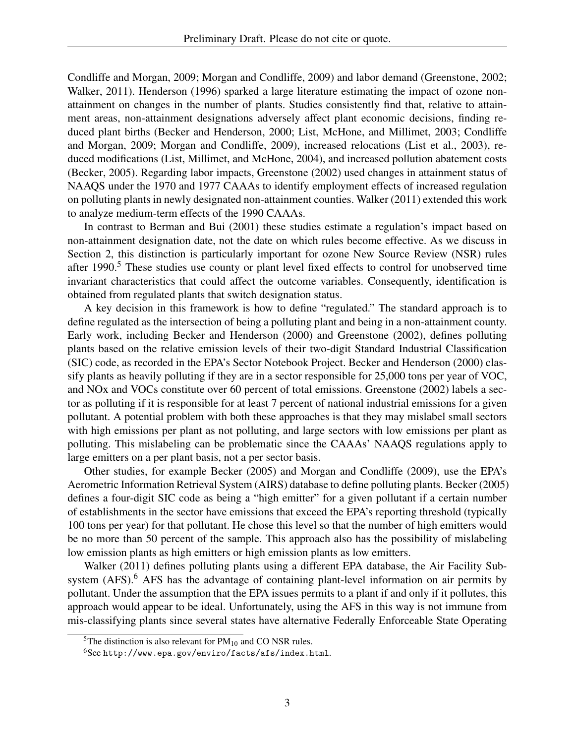Condliffe and Morgan, 2009; Morgan and Condliffe, 2009) and labor demand (Greenstone, 2002; Walker, 2011). Henderson (1996) sparked a large literature estimating the impact of ozone nonattainment on changes in the number of plants. Studies consistently find that, relative to attainment areas, non-attainment designations adversely affect plant economic decisions, finding reduced plant births (Becker and Henderson, 2000; List, McHone, and Millimet, 2003; Condliffe and Morgan, 2009; Morgan and Condliffe, 2009), increased relocations (List et al., 2003), reduced modifications (List, Millimet, and McHone, 2004), and increased pollution abatement costs (Becker, 2005). Regarding labor impacts, Greenstone (2002) used changes in attainment status of NAAQS under the 1970 and 1977 CAAAs to identify employment effects of increased regulation on polluting plants in newly designated non-attainment counties. Walker (2011) extended this work to analyze medium-term effects of the 1990 CAAAs.

In contrast to Berman and Bui (2001) these studies estimate a regulation's impact based on non-attainment designation date, not the date on which rules become effective. As we discuss in Section 2, this distinction is particularly important for ozone New Source Review (NSR) rules after 1990.<sup>5</sup> These studies use county or plant level fixed effects to control for unobserved time invariant characteristics that could affect the outcome variables. Consequently, identification is obtained from regulated plants that switch designation status.

A key decision in this framework is how to define "regulated." The standard approach is to define regulated as the intersection of being a polluting plant and being in a non-attainment county. Early work, including Becker and Henderson (2000) and Greenstone (2002), defines polluting plants based on the relative emission levels of their two-digit Standard Industrial Classification (SIC) code, as recorded in the EPA's Sector Notebook Project. Becker and Henderson (2000) classify plants as heavily polluting if they are in a sector responsible for 25,000 tons per year of VOC, and NOx and VOCs constitute over 60 percent of total emissions. Greenstone (2002) labels a sector as polluting if it is responsible for at least 7 percent of national industrial emissions for a given pollutant. A potential problem with both these approaches is that they may mislabel small sectors with high emissions per plant as not polluting, and large sectors with low emissions per plant as polluting. This mislabeling can be problematic since the CAAAs' NAAQS regulations apply to large emitters on a per plant basis, not a per sector basis.

Other studies, for example Becker (2005) and Morgan and Condliffe (2009), use the EPA's Aerometric Information Retrieval System (AIRS) database to define polluting plants. Becker (2005) defines a four-digit SIC code as being a "high emitter" for a given pollutant if a certain number of establishments in the sector have emissions that exceed the EPA's reporting threshold (typically 100 tons per year) for that pollutant. He chose this level so that the number of high emitters would be no more than 50 percent of the sample. This approach also has the possibility of mislabeling low emission plants as high emitters or high emission plants as low emitters.

Walker (2011) defines polluting plants using a different EPA database, the Air Facility Subsystem  $(AFS)$ <sup>6</sup>. AFS has the advantage of containing plant-level information on air permits by pollutant. Under the assumption that the EPA issues permits to a plant if and only if it pollutes, this approach would appear to be ideal. Unfortunately, using the AFS in this way is not immune from mis-classifying plants since several states have alternative Federally Enforceable State Operating

<sup>&</sup>lt;sup>5</sup>The distinction is also relevant for  $PM_{10}$  and CO NSR rules.

<sup>6</sup>See http://www.epa.gov/enviro/facts/afs/index.html.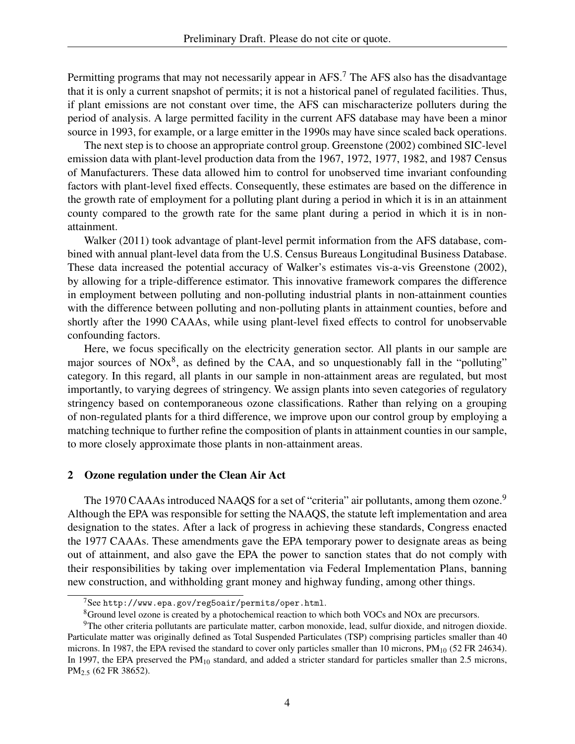Permitting programs that may not necessarily appear in  $AFS$ .<sup>7</sup> The  $AFS$  also has the disadvantage that it is only a current snapshot of permits; it is not a historical panel of regulated facilities. Thus, if plant emissions are not constant over time, the AFS can mischaracterize polluters during the period of analysis. A large permitted facility in the current AFS database may have been a minor source in 1993, for example, or a large emitter in the 1990s may have since scaled back operations.

The next step is to choose an appropriate control group. Greenstone (2002) combined SIC-level emission data with plant-level production data from the 1967, 1972, 1977, 1982, and 1987 Census of Manufacturers. These data allowed him to control for unobserved time invariant confounding factors with plant-level fixed effects. Consequently, these estimates are based on the difference in the growth rate of employment for a polluting plant during a period in which it is in an attainment county compared to the growth rate for the same plant during a period in which it is in nonattainment.

Walker (2011) took advantage of plant-level permit information from the AFS database, combined with annual plant-level data from the U.S. Census Bureaus Longitudinal Business Database. These data increased the potential accuracy of Walker's estimates vis-a-vis Greenstone (2002), by allowing for a triple-difference estimator. This innovative framework compares the difference in employment between polluting and non-polluting industrial plants in non-attainment counties with the difference between polluting and non-polluting plants in attainment counties, before and shortly after the 1990 CAAAs, while using plant-level fixed effects to control for unobservable confounding factors.

Here, we focus specifically on the electricity generation sector. All plants in our sample are major sources of  $NOx<sup>8</sup>$ , as defined by the CAA, and so unquestionably fall in the "polluting" category. In this regard, all plants in our sample in non-attainment areas are regulated, but most importantly, to varying degrees of stringency. We assign plants into seven categories of regulatory stringency based on contemporaneous ozone classifications. Rather than relying on a grouping of non-regulated plants for a third difference, we improve upon our control group by employing a matching technique to further refine the composition of plants in attainment counties in our sample, to more closely approximate those plants in non-attainment areas.

## 2 Ozone regulation under the Clean Air Act

The 1970 CAAAs introduced NAAQS for a set of "criteria" air pollutants, among them ozone.<sup>9</sup> Although the EPA was responsible for setting the NAAQS, the statute left implementation and area designation to the states. After a lack of progress in achieving these standards, Congress enacted the 1977 CAAAs. These amendments gave the EPA temporary power to designate areas as being out of attainment, and also gave the EPA the power to sanction states that do not comply with their responsibilities by taking over implementation via Federal Implementation Plans, banning new construction, and withholding grant money and highway funding, among other things.

 $7$ See http://www.epa.gov/reg5oair/permits/oper.html.

<sup>8</sup>Ground level ozone is created by a photochemical reaction to which both VOCs and NOx are precursors.

<sup>9</sup>The other criteria pollutants are particulate matter, carbon monoxide, lead, sulfur dioxide, and nitrogen dioxide. Particulate matter was originally defined as Total Suspended Particulates (TSP) comprising particles smaller than 40 microns. In 1987, the EPA revised the standard to cover only particles smaller than 10 microns, PM<sub>10</sub> (52 FR 24634). In 1997, the EPA preserved the  $PM_{10}$  standard, and added a stricter standard for particles smaller than 2.5 microns, PM2.<sup>5</sup> (62 FR 38652).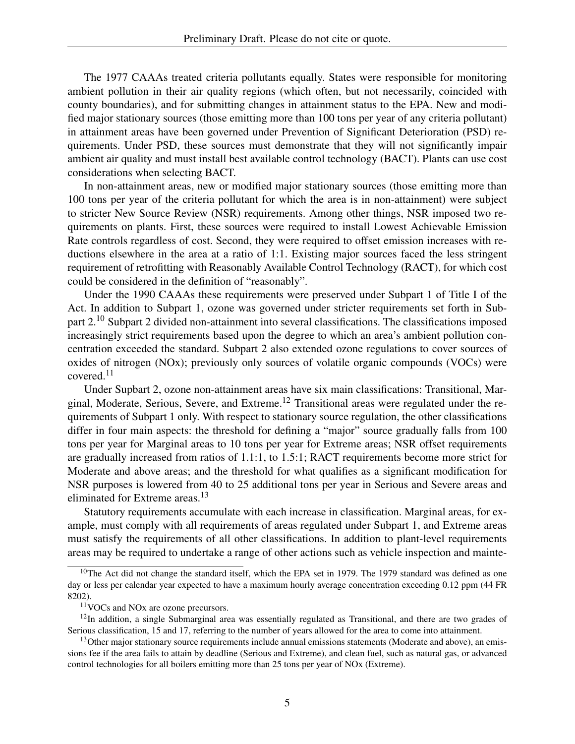The 1977 CAAAs treated criteria pollutants equally. States were responsible for monitoring ambient pollution in their air quality regions (which often, but not necessarily, coincided with county boundaries), and for submitting changes in attainment status to the EPA. New and modified major stationary sources (those emitting more than 100 tons per year of any criteria pollutant) in attainment areas have been governed under Prevention of Significant Deterioration (PSD) requirements. Under PSD, these sources must demonstrate that they will not significantly impair ambient air quality and must install best available control technology (BACT). Plants can use cost considerations when selecting BACT.

In non-attainment areas, new or modified major stationary sources (those emitting more than 100 tons per year of the criteria pollutant for which the area is in non-attainment) were subject to stricter New Source Review (NSR) requirements. Among other things, NSR imposed two requirements on plants. First, these sources were required to install Lowest Achievable Emission Rate controls regardless of cost. Second, they were required to offset emission increases with reductions elsewhere in the area at a ratio of 1:1. Existing major sources faced the less stringent requirement of retrofitting with Reasonably Available Control Technology (RACT), for which cost could be considered in the definition of "reasonably".

Under the 1990 CAAAs these requirements were preserved under Subpart 1 of Title I of the Act. In addition to Subpart 1, ozone was governed under stricter requirements set forth in Subpart 2.<sup>10</sup> Subpart 2 divided non-attainment into several classifications. The classifications imposed increasingly strict requirements based upon the degree to which an area's ambient pollution concentration exceeded the standard. Subpart 2 also extended ozone regulations to cover sources of oxides of nitrogen (NOx); previously only sources of volatile organic compounds (VOCs) were covered. $11$ 

Under Supbart 2, ozone non-attainment areas have six main classifications: Transitional, Marginal, Moderate, Serious, Severe, and Extreme.<sup>12</sup> Transitional areas were regulated under the requirements of Subpart 1 only. With respect to stationary source regulation, the other classifications differ in four main aspects: the threshold for defining a "major" source gradually falls from 100 tons per year for Marginal areas to 10 tons per year for Extreme areas; NSR offset requirements are gradually increased from ratios of 1.1:1, to 1.5:1; RACT requirements become more strict for Moderate and above areas; and the threshold for what qualifies as a significant modification for NSR purposes is lowered from 40 to 25 additional tons per year in Serious and Severe areas and eliminated for Extreme areas.<sup>13</sup>

Statutory requirements accumulate with each increase in classification. Marginal areas, for example, must comply with all requirements of areas regulated under Subpart 1, and Extreme areas must satisfy the requirements of all other classifications. In addition to plant-level requirements areas may be required to undertake a range of other actions such as vehicle inspection and mainte-

<sup>&</sup>lt;sup>10</sup>The Act did not change the standard itself, which the EPA set in 1979. The 1979 standard was defined as one day or less per calendar year expected to have a maximum hourly average concentration exceeding 0.12 ppm (44 FR 8202).

<sup>11</sup>VOCs and NOx are ozone precursors.

<sup>&</sup>lt;sup>12</sup>In addition, a single Submarginal area was essentially regulated as Transitional, and there are two grades of Serious classification, 15 and 17, referring to the number of years allowed for the area to come into attainment.

<sup>&</sup>lt;sup>13</sup>Other major stationary source requirements include annual emissions statements (Moderate and above), an emissions fee if the area fails to attain by deadline (Serious and Extreme), and clean fuel, such as natural gas, or advanced control technologies for all boilers emitting more than 25 tons per year of NOx (Extreme).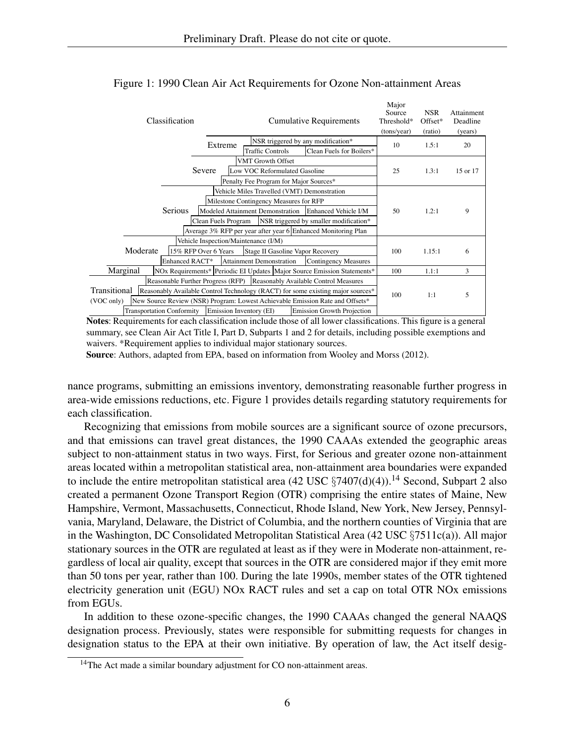| Classification                   |                                      | <b>Cumulative Requirements</b>              |                                                                                 | Major<br>Source<br>Threshold*<br>(tons/year) | <b>NSR</b><br>Offset*<br>(ratio) | Attainment<br>Deadline<br>(years) |
|----------------------------------|--------------------------------------|---------------------------------------------|---------------------------------------------------------------------------------|----------------------------------------------|----------------------------------|-----------------------------------|
|                                  | Extreme                              | <b>Traffic Controls</b>                     | NSR triggered by any modification*<br>Clean Fuels for Boilers*                  | 10                                           | 1.5:1                            | 20                                |
|                                  |                                      | <b>VMT Growth Offset</b>                    |                                                                                 |                                              |                                  |                                   |
|                                  | Severe                               | Low VOC Reformulated Gasoline               |                                                                                 | 25                                           | 1.3:1                            | 15 or 17                          |
|                                  |                                      | Penalty Fee Program for Major Sources*      |                                                                                 |                                              |                                  |                                   |
|                                  |                                      | Vehicle Miles Travelled (VMT) Demonstration |                                                                                 |                                              |                                  |                                   |
|                                  |                                      | Milestone Contingency Measures for RFP      |                                                                                 |                                              |                                  |                                   |
| Serious                          |                                      |                                             | Modeled Attainment Demonstration Enhanced Vehicle I/M                           | 50                                           | 1.2:1                            | 9                                 |
|                                  |                                      |                                             |                                                                                 |                                              |                                  |                                   |
|                                  | Clean Fuels Program                  |                                             | NSR triggered by smaller modification*                                          |                                              |                                  |                                   |
|                                  |                                      |                                             | Average 3% RFP per year after year 6 Enhanced Monitoring Plan                   |                                              |                                  |                                   |
|                                  | Vehicle Inspection/Maintenance (I/M) |                                             |                                                                                 |                                              |                                  |                                   |
| Moderate                         | 15% RFP Over 6 Years                 | Stage II Gasoline Vapor Recovery            |                                                                                 | 100                                          | 1.15:1                           | 6                                 |
| Enhanced RACT*                   |                                      | Attainment Demonstration                    | Contingency Measures                                                            |                                              |                                  |                                   |
| Marginal                         |                                      |                                             | NOx Requirements* Periodic EI Updates Major Source Emission Statements*         | 100                                          | 1.1:1                            | 3                                 |
|                                  |                                      |                                             | Reasonable Further Progress (RFP) Reasonably Available Control Measures         |                                              |                                  |                                   |
| Transitional                     |                                      |                                             | Reasonably Available Control Technology (RACT) for some existing major sources* |                                              |                                  |                                   |
| (VOC only)                       |                                      |                                             | New Source Review (NSR) Program: Lowest Achievable Emission Rate and Offsets*   | 100                                          | 1:1                              | 5                                 |
| <b>Transportation Conformity</b> | Emission Inventory (EI)              |                                             | Emission Growth Projection                                                      |                                              |                                  |                                   |

## Figure 1: 1990 Clean Air Act Requirements for Ozone Non-attainment Areas

Notes: Requirements for each classification include those of all lower classifications. This figure is a general summary, see Clean Air Act Title I, Part D, Subparts 1 and 2 for details, including possible exemptions and waivers. \*Requirement applies to individual major stationary sources.

Source: Authors, adapted from EPA, based on information from Wooley and Morss (2012).

nance programs, submitting an emissions inventory, demonstrating reasonable further progress in area-wide emissions reductions, etc. Figure 1 provides details regarding statutory requirements for each classification.

Recognizing that emissions from mobile sources are a significant source of ozone precursors, and that emissions can travel great distances, the 1990 CAAAs extended the geographic areas subject to non-attainment status in two ways. First, for Serious and greater ozone non-attainment areas located within a metropolitan statistical area, non-attainment area boundaries were expanded to include the entire metropolitan statistical area (42 USC  $\S7407(d)(4)$ ).<sup>14</sup> Second, Subpart 2 also created a permanent Ozone Transport Region (OTR) comprising the entire states of Maine, New Hampshire, Vermont, Massachusetts, Connecticut, Rhode Island, New York, New Jersey, Pennsylvania, Maryland, Delaware, the District of Columbia, and the northern counties of Virginia that are in the Washington, DC Consolidated Metropolitan Statistical Area (42 USC  $\S7511c(a)$ ). All major stationary sources in the OTR are regulated at least as if they were in Moderate non-attainment, regardless of local air quality, except that sources in the OTR are considered major if they emit more than 50 tons per year, rather than 100. During the late 1990s, member states of the OTR tightened electricity generation unit (EGU) NOx RACT rules and set a cap on total OTR NOx emissions from EGUs.

In addition to these ozone-specific changes, the 1990 CAAAs changed the general NAAQS designation process. Previously, states were responsible for submitting requests for changes in designation status to the EPA at their own initiative. By operation of law, the Act itself desig-

 $14$ The Act made a similar boundary adjustment for CO non-attainment areas.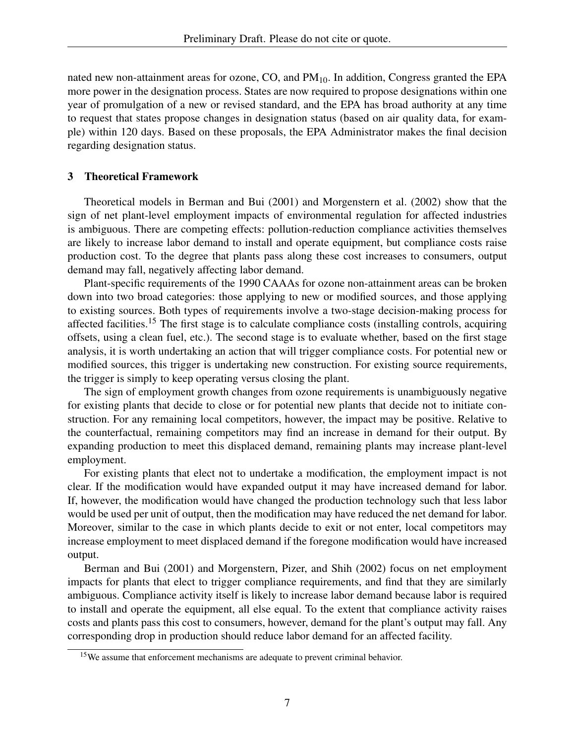nated new non-attainment areas for ozone,  $CO$ , and  $PM_{10}$ . In addition, Congress granted the EPA more power in the designation process. States are now required to propose designations within one year of promulgation of a new or revised standard, and the EPA has broad authority at any time to request that states propose changes in designation status (based on air quality data, for example) within 120 days. Based on these proposals, the EPA Administrator makes the final decision regarding designation status.

## 3 Theoretical Framework

Theoretical models in Berman and Bui (2001) and Morgenstern et al. (2002) show that the sign of net plant-level employment impacts of environmental regulation for affected industries is ambiguous. There are competing effects: pollution-reduction compliance activities themselves are likely to increase labor demand to install and operate equipment, but compliance costs raise production cost. To the degree that plants pass along these cost increases to consumers, output demand may fall, negatively affecting labor demand.

Plant-specific requirements of the 1990 CAAAs for ozone non-attainment areas can be broken down into two broad categories: those applying to new or modified sources, and those applying to existing sources. Both types of requirements involve a two-stage decision-making process for affected facilities.<sup>15</sup> The first stage is to calculate compliance costs (installing controls, acquiring offsets, using a clean fuel, etc.). The second stage is to evaluate whether, based on the first stage analysis, it is worth undertaking an action that will trigger compliance costs. For potential new or modified sources, this trigger is undertaking new construction. For existing source requirements, the trigger is simply to keep operating versus closing the plant.

The sign of employment growth changes from ozone requirements is unambiguously negative for existing plants that decide to close or for potential new plants that decide not to initiate construction. For any remaining local competitors, however, the impact may be positive. Relative to the counterfactual, remaining competitors may find an increase in demand for their output. By expanding production to meet this displaced demand, remaining plants may increase plant-level employment.

For existing plants that elect not to undertake a modification, the employment impact is not clear. If the modification would have expanded output it may have increased demand for labor. If, however, the modification would have changed the production technology such that less labor would be used per unit of output, then the modification may have reduced the net demand for labor. Moreover, similar to the case in which plants decide to exit or not enter, local competitors may increase employment to meet displaced demand if the foregone modification would have increased output.

Berman and Bui (2001) and Morgenstern, Pizer, and Shih (2002) focus on net employment impacts for plants that elect to trigger compliance requirements, and find that they are similarly ambiguous. Compliance activity itself is likely to increase labor demand because labor is required to install and operate the equipment, all else equal. To the extent that compliance activity raises costs and plants pass this cost to consumers, however, demand for the plant's output may fall. Any corresponding drop in production should reduce labor demand for an affected facility.

<sup>&</sup>lt;sup>15</sup>We assume that enforcement mechanisms are adequate to prevent criminal behavior.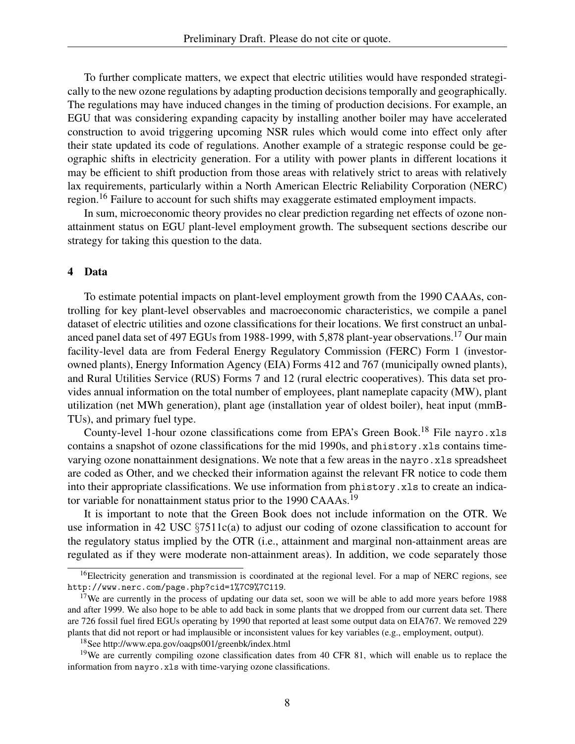To further complicate matters, we expect that electric utilities would have responded strategically to the new ozone regulations by adapting production decisions temporally and geographically. The regulations may have induced changes in the timing of production decisions. For example, an EGU that was considering expanding capacity by installing another boiler may have accelerated construction to avoid triggering upcoming NSR rules which would come into effect only after their state updated its code of regulations. Another example of a strategic response could be geographic shifts in electricity generation. For a utility with power plants in different locations it may be efficient to shift production from those areas with relatively strict to areas with relatively lax requirements, particularly within a North American Electric Reliability Corporation (NERC) region.<sup>16</sup> Failure to account for such shifts may exaggerate estimated employment impacts.

In sum, microeconomic theory provides no clear prediction regarding net effects of ozone nonattainment status on EGU plant-level employment growth. The subsequent sections describe our strategy for taking this question to the data.

#### 4 Data

To estimate potential impacts on plant-level employment growth from the 1990 CAAAs, controlling for key plant-level observables and macroeconomic characteristics, we compile a panel dataset of electric utilities and ozone classifications for their locations. We first construct an unbalanced panel data set of 497 EGUs from 1988-1999, with 5,878 plant-year observations.<sup>17</sup> Our main facility-level data are from Federal Energy Regulatory Commission (FERC) Form 1 (investorowned plants), Energy Information Agency (EIA) Forms 412 and 767 (municipally owned plants), and Rural Utilities Service (RUS) Forms 7 and 12 (rural electric cooperatives). This data set provides annual information on the total number of employees, plant nameplate capacity (MW), plant utilization (net MWh generation), plant age (installation year of oldest boiler), heat input (mmB-TUs), and primary fuel type.

County-level 1-hour ozone classifications come from EPA's Green Book.<sup>18</sup> File nayro.xls contains a snapshot of ozone classifications for the mid 1990s, and phistory.xls contains timevarying ozone nonattainment designations. We note that a few areas in the nayro.xls spreadsheet are coded as Other, and we checked their information against the relevant FR notice to code them into their appropriate classifications. We use information from phistory.xls to create an indicator variable for nonattainment status prior to the 1990 CAAAs.<sup>19</sup>

It is important to note that the Green Book does not include information on the OTR. We use information in 42 USC  $\S7511c(a)$  to adjust our coding of ozone classification to account for the regulatory status implied by the OTR (i.e., attainment and marginal non-attainment areas are regulated as if they were moderate non-attainment areas). In addition, we code separately those

<sup>18</sup>See http://www.epa.gov/oaqps001/greenbk/index.html

 $^{16}$ Electricity generation and transmission is coordinated at the regional level. For a map of NERC regions, see http://www.nerc.com/page.php?cid=1%7C9%7C119.

<sup>&</sup>lt;sup>17</sup>We are currently in the process of updating our data set, soon we will be able to add more years before 1988 and after 1999. We also hope to be able to add back in some plants that we dropped from our current data set. There are 726 fossil fuel fired EGUs operating by 1990 that reported at least some output data on EIA767. We removed 229 plants that did not report or had implausible or inconsistent values for key variables (e.g., employment, output).

<sup>&</sup>lt;sup>19</sup>We are currently compiling ozone classification dates from 40 CFR 81, which will enable us to replace the information from nayro.xls with time-varying ozone classifications.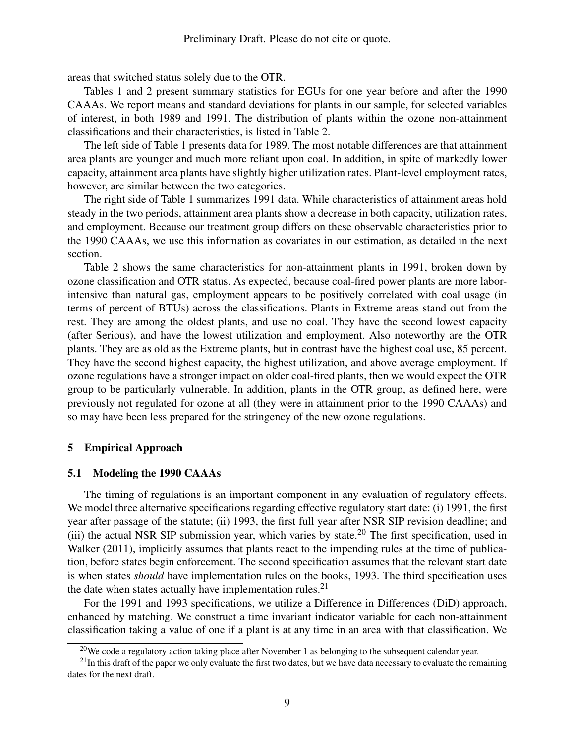areas that switched status solely due to the OTR.

Tables 1 and 2 present summary statistics for EGUs for one year before and after the 1990 CAAAs. We report means and standard deviations for plants in our sample, for selected variables of interest, in both 1989 and 1991. The distribution of plants within the ozone non-attainment classifications and their characteristics, is listed in Table 2.

The left side of Table 1 presents data for 1989. The most notable differences are that attainment area plants are younger and much more reliant upon coal. In addition, in spite of markedly lower capacity, attainment area plants have slightly higher utilization rates. Plant-level employment rates, however, are similar between the two categories.

The right side of Table 1 summarizes 1991 data. While characteristics of attainment areas hold steady in the two periods, attainment area plants show a decrease in both capacity, utilization rates, and employment. Because our treatment group differs on these observable characteristics prior to the 1990 CAAAs, we use this information as covariates in our estimation, as detailed in the next section.

Table 2 shows the same characteristics for non-attainment plants in 1991, broken down by ozone classification and OTR status. As expected, because coal-fired power plants are more laborintensive than natural gas, employment appears to be positively correlated with coal usage (in terms of percent of BTUs) across the classifications. Plants in Extreme areas stand out from the rest. They are among the oldest plants, and use no coal. They have the second lowest capacity (after Serious), and have the lowest utilization and employment. Also noteworthy are the OTR plants. They are as old as the Extreme plants, but in contrast have the highest coal use, 85 percent. They have the second highest capacity, the highest utilization, and above average employment. If ozone regulations have a stronger impact on older coal-fired plants, then we would expect the OTR group to be particularly vulnerable. In addition, plants in the OTR group, as defined here, were previously not regulated for ozone at all (they were in attainment prior to the 1990 CAAAs) and so may have been less prepared for the stringency of the new ozone regulations.

## 5 Empirical Approach

#### 5.1 Modeling the 1990 CAAAs

The timing of regulations is an important component in any evaluation of regulatory effects. We model three alternative specifications regarding effective regulatory start date: (i) 1991, the first year after passage of the statute; (ii) 1993, the first full year after NSR SIP revision deadline; and (iii) the actual NSR SIP submission year, which varies by state.<sup>20</sup> The first specification, used in Walker (2011), implicitly assumes that plants react to the impending rules at the time of publication, before states begin enforcement. The second specification assumes that the relevant start date is when states *should* have implementation rules on the books, 1993. The third specification uses the date when states actually have implementation rules.<sup>21</sup>

For the 1991 and 1993 specifications, we utilize a Difference in Differences (DiD) approach, enhanced by matching. We construct a time invariant indicator variable for each non-attainment classification taking a value of one if a plant is at any time in an area with that classification. We

 $20$ We code a regulatory action taking place after November 1 as belonging to the subsequent calendar year.

 $21$ In this draft of the paper we only evaluate the first two dates, but we have data necessary to evaluate the remaining dates for the next draft.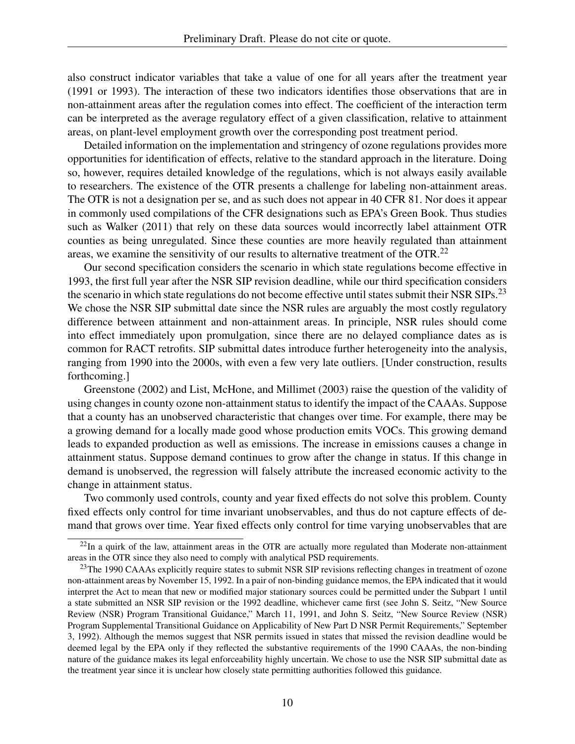also construct indicator variables that take a value of one for all years after the treatment year (1991 or 1993). The interaction of these two indicators identifies those observations that are in non-attainment areas after the regulation comes into effect. The coefficient of the interaction term can be interpreted as the average regulatory effect of a given classification, relative to attainment areas, on plant-level employment growth over the corresponding post treatment period.

Detailed information on the implementation and stringency of ozone regulations provides more opportunities for identification of effects, relative to the standard approach in the literature. Doing so, however, requires detailed knowledge of the regulations, which is not always easily available to researchers. The existence of the OTR presents a challenge for labeling non-attainment areas. The OTR is not a designation per se, and as such does not appear in 40 CFR 81. Nor does it appear in commonly used compilations of the CFR designations such as EPA's Green Book. Thus studies such as Walker (2011) that rely on these data sources would incorrectly label attainment OTR counties as being unregulated. Since these counties are more heavily regulated than attainment areas, we examine the sensitivity of our results to alternative treatment of the OTR.<sup>22</sup>

Our second specification considers the scenario in which state regulations become effective in 1993, the first full year after the NSR SIP revision deadline, while our third specification considers the scenario in which state regulations do not become effective until states submit their NSR SIPs.<sup>23</sup> We chose the NSR SIP submittal date since the NSR rules are arguably the most costly regulatory difference between attainment and non-attainment areas. In principle, NSR rules should come into effect immediately upon promulgation, since there are no delayed compliance dates as is common for RACT retrofits. SIP submittal dates introduce further heterogeneity into the analysis, ranging from 1990 into the 2000s, with even a few very late outliers. [Under construction, results forthcoming.]

Greenstone (2002) and List, McHone, and Millimet (2003) raise the question of the validity of using changes in county ozone non-attainment status to identify the impact of the CAAAs. Suppose that a county has an unobserved characteristic that changes over time. For example, there may be a growing demand for a locally made good whose production emits VOCs. This growing demand leads to expanded production as well as emissions. The increase in emissions causes a change in attainment status. Suppose demand continues to grow after the change in status. If this change in demand is unobserved, the regression will falsely attribute the increased economic activity to the change in attainment status.

Two commonly used controls, county and year fixed effects do not solve this problem. County fixed effects only control for time invariant unobservables, and thus do not capture effects of demand that grows over time. Year fixed effects only control for time varying unobservables that are

<sup>&</sup>lt;sup>22</sup>In a quirk of the law, attainment areas in the OTR are actually more regulated than Moderate non-attainment areas in the OTR since they also need to comply with analytical PSD requirements.

<sup>&</sup>lt;sup>23</sup>The 1990 CAAAs explicitly require states to submit NSR SIP revisions reflecting changes in treatment of ozone non-attainment areas by November 15, 1992. In a pair of non-binding guidance memos, the EPA indicated that it would interpret the Act to mean that new or modified major stationary sources could be permitted under the Subpart 1 until a state submitted an NSR SIP revision or the 1992 deadline, whichever came first (see John S. Seitz, "New Source Review (NSR) Program Transitional Guidance," March 11, 1991, and John S. Seitz, "New Source Review (NSR) Program Supplemental Transitional Guidance on Applicability of New Part D NSR Permit Requirements," September 3, 1992). Although the memos suggest that NSR permits issued in states that missed the revision deadline would be deemed legal by the EPA only if they reflected the substantive requirements of the 1990 CAAAs, the non-binding nature of the guidance makes its legal enforceability highly uncertain. We chose to use the NSR SIP submittal date as the treatment year since it is unclear how closely state permitting authorities followed this guidance.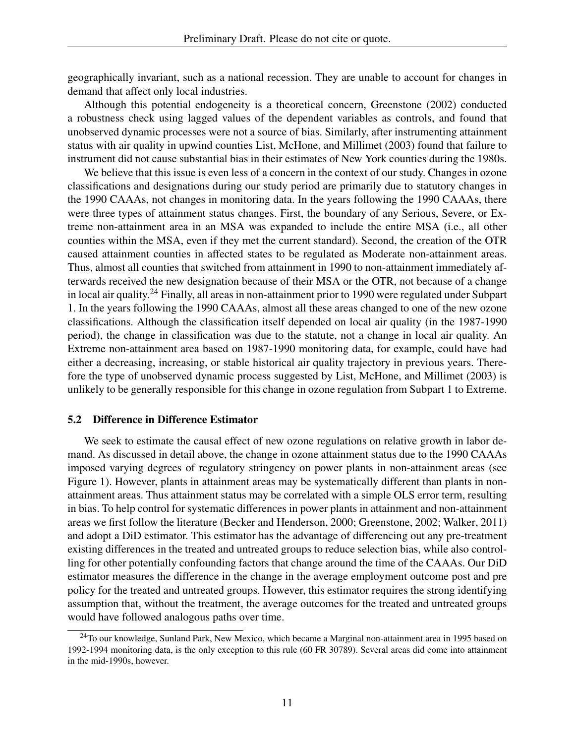geographically invariant, such as a national recession. They are unable to account for changes in demand that affect only local industries.

Although this potential endogeneity is a theoretical concern, Greenstone (2002) conducted a robustness check using lagged values of the dependent variables as controls, and found that unobserved dynamic processes were not a source of bias. Similarly, after instrumenting attainment status with air quality in upwind counties List, McHone, and Millimet (2003) found that failure to instrument did not cause substantial bias in their estimates of New York counties during the 1980s.

We believe that this issue is even less of a concern in the context of our study. Changes in ozone classifications and designations during our study period are primarily due to statutory changes in the 1990 CAAAs, not changes in monitoring data. In the years following the 1990 CAAAs, there were three types of attainment status changes. First, the boundary of any Serious, Severe, or Extreme non-attainment area in an MSA was expanded to include the entire MSA (i.e., all other counties within the MSA, even if they met the current standard). Second, the creation of the OTR caused attainment counties in affected states to be regulated as Moderate non-attainment areas. Thus, almost all counties that switched from attainment in 1990 to non-attainment immediately afterwards received the new designation because of their MSA or the OTR, not because of a change in local air quality.<sup>24</sup> Finally, all areas in non-attainment prior to 1990 were regulated under Subpart 1. In the years following the 1990 CAAAs, almost all these areas changed to one of the new ozone classifications. Although the classification itself depended on local air quality (in the 1987-1990 period), the change in classification was due to the statute, not a change in local air quality. An Extreme non-attainment area based on 1987-1990 monitoring data, for example, could have had either a decreasing, increasing, or stable historical air quality trajectory in previous years. Therefore the type of unobserved dynamic process suggested by List, McHone, and Millimet (2003) is unlikely to be generally responsible for this change in ozone regulation from Subpart 1 to Extreme.

#### 5.2 Difference in Difference Estimator

We seek to estimate the causal effect of new ozone regulations on relative growth in labor demand. As discussed in detail above, the change in ozone attainment status due to the 1990 CAAAs imposed varying degrees of regulatory stringency on power plants in non-attainment areas (see Figure 1). However, plants in attainment areas may be systematically different than plants in nonattainment areas. Thus attainment status may be correlated with a simple OLS error term, resulting in bias. To help control for systematic differences in power plants in attainment and non-attainment areas we first follow the literature (Becker and Henderson, 2000; Greenstone, 2002; Walker, 2011) and adopt a DiD estimator. This estimator has the advantage of differencing out any pre-treatment existing differences in the treated and untreated groups to reduce selection bias, while also controlling for other potentially confounding factors that change around the time of the CAAAs. Our DiD estimator measures the difference in the change in the average employment outcome post and pre policy for the treated and untreated groups. However, this estimator requires the strong identifying assumption that, without the treatment, the average outcomes for the treated and untreated groups would have followed analogous paths over time.

<sup>&</sup>lt;sup>24</sup>To our knowledge, Sunland Park, New Mexico, which became a Marginal non-attainment area in 1995 based on 1992-1994 monitoring data, is the only exception to this rule (60 FR 30789). Several areas did come into attainment in the mid-1990s, however.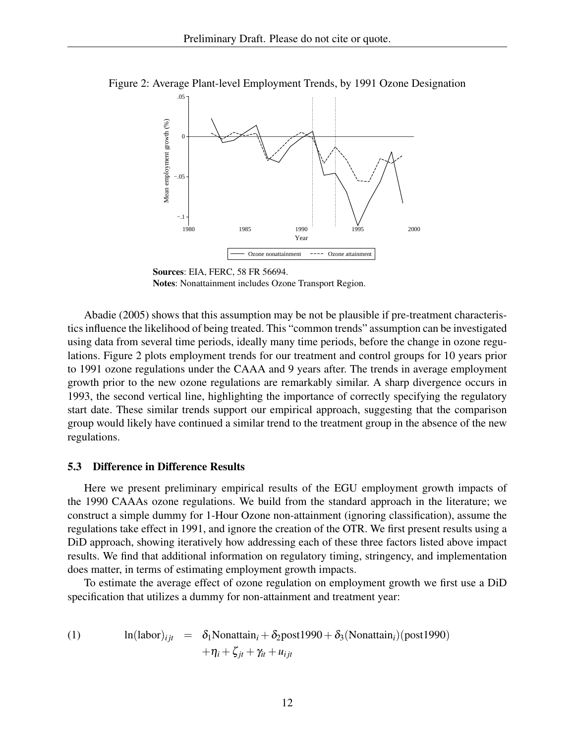

Figure 2: Average Plant-level Employment Trends, by 1991 Ozone Designation

Sources: EIA, FERC, 58 FR 56694. Notes: Nonattainment includes Ozone Transport Region.

Abadie (2005) shows that this assumption may be not be plausible if pre-treatment characteristics influence the likelihood of being treated. This "common trends" assumption can be investigated using data from several time periods, ideally many time periods, before the change in ozone regulations. Figure 2 plots employment trends for our treatment and control groups for 10 years prior to 1991 ozone regulations under the CAAA and 9 years after. The trends in average employment growth prior to the new ozone regulations are remarkably similar. A sharp divergence occurs in 1993, the second vertical line, highlighting the importance of correctly specifying the regulatory start date. These similar trends support our empirical approach, suggesting that the comparison group would likely have continued a similar trend to the treatment group in the absence of the new regulations.

#### 5.3 Difference in Difference Results

Here we present preliminary empirical results of the EGU employment growth impacts of the 1990 CAAAs ozone regulations. We build from the standard approach in the literature; we construct a simple dummy for 1-Hour Ozone non-attainment (ignoring classification), assume the regulations take effect in 1991, and ignore the creation of the OTR. We first present results using a DiD approach, showing iteratively how addressing each of these three factors listed above impact results. We find that additional information on regulatory timing, stringency, and implementation does matter, in terms of estimating employment growth impacts.

To estimate the average effect of ozone regulation on employment growth we first use a DiD specification that utilizes a dummy for non-attainment and treatment year:

(1) 
$$
\ln(\text{labor})_{ijt} = \delta_1 \text{Nonattain}_i + \delta_2 \text{post1990} + \delta_3(\text{Nonattain}_i)(\text{post1990}) + \eta_i + \zeta_{jt} + \gamma_{it} + u_{ijt}
$$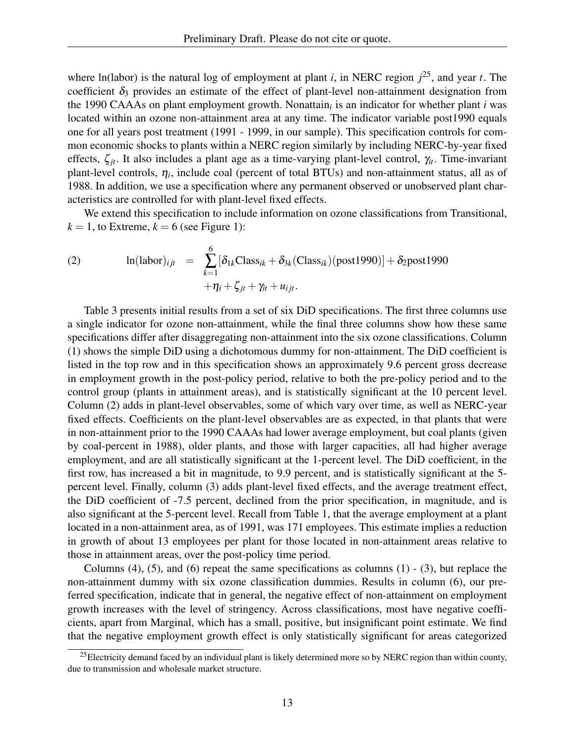where ln(labor) is the natural log of employment at plant *i*, in NERC region *j* <sup>25</sup>, and year *t*. The coefficient  $\delta_3$  provides an estimate of the effect of plant-level non-attainment designation from the 1990 CAAAs on plant employment growth. Nonattain*<sup>i</sup>* is an indicator for whether plant *i* was located within an ozone non-attainment area at any time. The indicator variable post1990 equals one for all years post treatment (1991 - 1999, in our sample). This specification controls for common economic shocks to plants within a NERC region similarly by including NERC-by-year fixed effects, ζ*jt*. It also includes a plant age as a time-varying plant-level control, γ*it*. Time-invariant plant-level controls, η*<sup>i</sup>* , include coal (percent of total BTUs) and non-attainment status, all as of 1988. In addition, we use a specification where any permanent observed or unobserved plant characteristics are controlled for with plant-level fixed effects.

We extend this specification to include information on ozone classifications from Transitional,  $k = 1$ , to Extreme,  $k = 6$  (see Figure 1):

(2) 
$$
\ln(\text{labor})_{ijt} = \sum_{k=1}^{6} [\delta_{1k} \text{Class}_{ik} + \delta_{3k} (\text{Class}_{ik}) (\text{post1990})] + \delta_{2} \text{post1990} + \eta_i + \zeta_{jt} + \gamma_{it} + u_{ijt}.
$$

Table 3 presents initial results from a set of six DiD specifications. The first three columns use a single indicator for ozone non-attainment, while the final three columns show how these same specifications differ after disaggregating non-attainment into the six ozone classifications. Column (1) shows the simple DiD using a dichotomous dummy for non-attainment. The DiD coefficient is listed in the top row and in this specification shows an approximately 9.6 percent gross decrease in employment growth in the post-policy period, relative to both the pre-policy period and to the control group (plants in attainment areas), and is statistically significant at the 10 percent level. Column (2) adds in plant-level observables, some of which vary over time, as well as NERC-year fixed effects. Coefficients on the plant-level observables are as expected, in that plants that were in non-attainment prior to the 1990 CAAAs had lower average employment, but coal plants (given by coal-percent in 1988), older plants, and those with larger capacities, all had higher average employment, and are all statistically significant at the 1-percent level. The DiD coefficient, in the first row, has increased a bit in magnitude, to 9.9 percent, and is statistically significant at the 5 percent level. Finally, column (3) adds plant-level fixed effects, and the average treatment effect, the DiD coefficient of -7.5 percent, declined from the prior specification, in magnitude, and is also significant at the 5-percent level. Recall from Table 1, that the average employment at a plant located in a non-attainment area, as of 1991, was 171 employees. This estimate implies a reduction in growth of about 13 employees per plant for those located in non-attainment areas relative to those in attainment areas, over the post-policy time period.

Columns  $(4)$ ,  $(5)$ , and  $(6)$  repeat the same specifications as columns  $(1)$  -  $(3)$ , but replace the non-attainment dummy with six ozone classification dummies. Results in column (6), our preferred specification, indicate that in general, the negative effect of non-attainment on employment growth increases with the level of stringency. Across classifications, most have negative coefficients, apart from Marginal, which has a small, positive, but insignificant point estimate. We find that the negative employment growth effect is only statistically significant for areas categorized

<sup>&</sup>lt;sup>25</sup>Electricity demand faced by an individual plant is likely determined more so by NERC region than within county, due to transmission and wholesale market structure.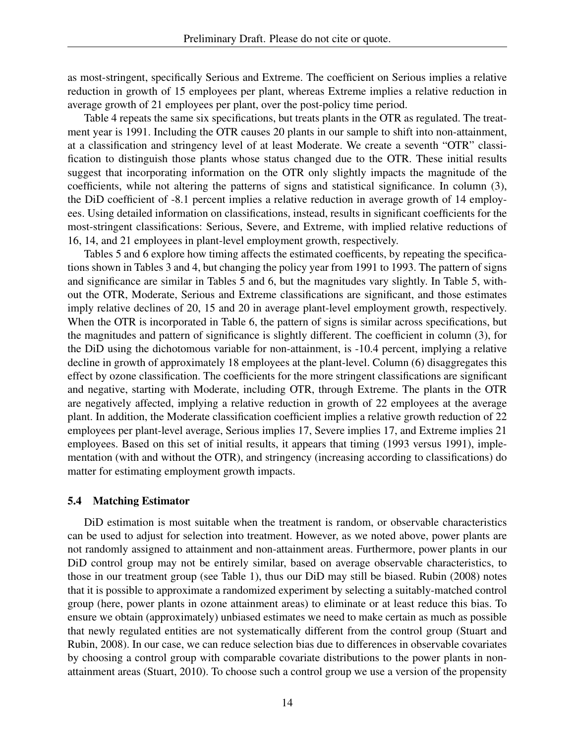as most-stringent, specifically Serious and Extreme. The coefficient on Serious implies a relative reduction in growth of 15 employees per plant, whereas Extreme implies a relative reduction in average growth of 21 employees per plant, over the post-policy time period.

Table 4 repeats the same six specifications, but treats plants in the OTR as regulated. The treatment year is 1991. Including the OTR causes 20 plants in our sample to shift into non-attainment, at a classification and stringency level of at least Moderate. We create a seventh "OTR" classification to distinguish those plants whose status changed due to the OTR. These initial results suggest that incorporating information on the OTR only slightly impacts the magnitude of the coefficients, while not altering the patterns of signs and statistical significance. In column (3), the DiD coefficient of -8.1 percent implies a relative reduction in average growth of 14 employees. Using detailed information on classifications, instead, results in significant coefficients for the most-stringent classifications: Serious, Severe, and Extreme, with implied relative reductions of 16, 14, and 21 employees in plant-level employment growth, respectively.

Tables 5 and 6 explore how timing affects the estimated coefficents, by repeating the specifications shown in Tables 3 and 4, but changing the policy year from 1991 to 1993. The pattern of signs and significance are similar in Tables 5 and 6, but the magnitudes vary slightly. In Table 5, without the OTR, Moderate, Serious and Extreme classifications are significant, and those estimates imply relative declines of 20, 15 and 20 in average plant-level employment growth, respectively. When the OTR is incorporated in Table 6, the pattern of signs is similar across specifications, but the magnitudes and pattern of significance is slightly different. The coefficient in column (3), for the DiD using the dichotomous variable for non-attainment, is -10.4 percent, implying a relative decline in growth of approximately 18 employees at the plant-level. Column (6) disaggregates this effect by ozone classification. The coefficients for the more stringent classifications are significant and negative, starting with Moderate, including OTR, through Extreme. The plants in the OTR are negatively affected, implying a relative reduction in growth of 22 employees at the average plant. In addition, the Moderate classification coefficient implies a relative growth reduction of 22 employees per plant-level average, Serious implies 17, Severe implies 17, and Extreme implies 21 employees. Based on this set of initial results, it appears that timing (1993 versus 1991), implementation (with and without the OTR), and stringency (increasing according to classifications) do matter for estimating employment growth impacts.

#### 5.4 Matching Estimator

DiD estimation is most suitable when the treatment is random, or observable characteristics can be used to adjust for selection into treatment. However, as we noted above, power plants are not randomly assigned to attainment and non-attainment areas. Furthermore, power plants in our DiD control group may not be entirely similar, based on average observable characteristics, to those in our treatment group (see Table 1), thus our DiD may still be biased. Rubin (2008) notes that it is possible to approximate a randomized experiment by selecting a suitably-matched control group (here, power plants in ozone attainment areas) to eliminate or at least reduce this bias. To ensure we obtain (approximately) unbiased estimates we need to make certain as much as possible that newly regulated entities are not systematically different from the control group (Stuart and Rubin, 2008). In our case, we can reduce selection bias due to differences in observable covariates by choosing a control group with comparable covariate distributions to the power plants in nonattainment areas (Stuart, 2010). To choose such a control group we use a version of the propensity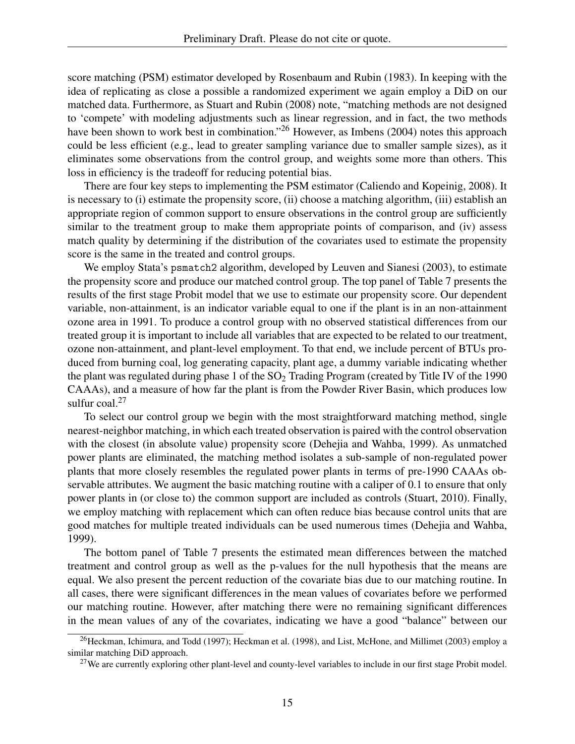score matching (PSM) estimator developed by Rosenbaum and Rubin (1983). In keeping with the idea of replicating as close a possible a randomized experiment we again employ a DiD on our matched data. Furthermore, as Stuart and Rubin (2008) note, "matching methods are not designed to 'compete' with modeling adjustments such as linear regression, and in fact, the two methods have been shown to work best in combination."<sup>26</sup> However, as Imbens (2004) notes this approach could be less efficient (e.g., lead to greater sampling variance due to smaller sample sizes), as it eliminates some observations from the control group, and weights some more than others. This loss in efficiency is the tradeoff for reducing potential bias.

There are four key steps to implementing the PSM estimator (Caliendo and Kopeinig, 2008). It is necessary to (i) estimate the propensity score, (ii) choose a matching algorithm, (iii) establish an appropriate region of common support to ensure observations in the control group are sufficiently similar to the treatment group to make them appropriate points of comparison, and (iv) assess match quality by determining if the distribution of the covariates used to estimate the propensity score is the same in the treated and control groups.

We employ Stata's psmatch2 algorithm, developed by Leuven and Sianesi (2003), to estimate the propensity score and produce our matched control group. The top panel of Table 7 presents the results of the first stage Probit model that we use to estimate our propensity score. Our dependent variable, non-attainment, is an indicator variable equal to one if the plant is in an non-attainment ozone area in 1991. To produce a control group with no observed statistical differences from our treated group it is important to include all variables that are expected to be related to our treatment, ozone non-attainment, and plant-level employment. To that end, we include percent of BTUs produced from burning coal, log generating capacity, plant age, a dummy variable indicating whether the plant was regulated during phase 1 of the  $SO<sub>2</sub>$  Trading Program (created by Title IV of the 1990 CAAAs), and a measure of how far the plant is from the Powder River Basin, which produces low sulfur  $\cosh^{27}$ 

To select our control group we begin with the most straightforward matching method, single nearest-neighbor matching, in which each treated observation is paired with the control observation with the closest (in absolute value) propensity score (Dehejia and Wahba, 1999). As unmatched power plants are eliminated, the matching method isolates a sub-sample of non-regulated power plants that more closely resembles the regulated power plants in terms of pre-1990 CAAAs observable attributes. We augment the basic matching routine with a caliper of 0.1 to ensure that only power plants in (or close to) the common support are included as controls (Stuart, 2010). Finally, we employ matching with replacement which can often reduce bias because control units that are good matches for multiple treated individuals can be used numerous times (Dehejia and Wahba, 1999).

The bottom panel of Table 7 presents the estimated mean differences between the matched treatment and control group as well as the p-values for the null hypothesis that the means are equal. We also present the percent reduction of the covariate bias due to our matching routine. In all cases, there were significant differences in the mean values of covariates before we performed our matching routine. However, after matching there were no remaining significant differences in the mean values of any of the covariates, indicating we have a good "balance" between our

<sup>&</sup>lt;sup>26</sup>Heckman, Ichimura, and Todd (1997); Heckman et al. (1998), and List, McHone, and Millimet (2003) employ a similar matching DiD approach.

<sup>&</sup>lt;sup>27</sup>We are currently exploring other plant-level and county-level variables to include in our first stage Probit model.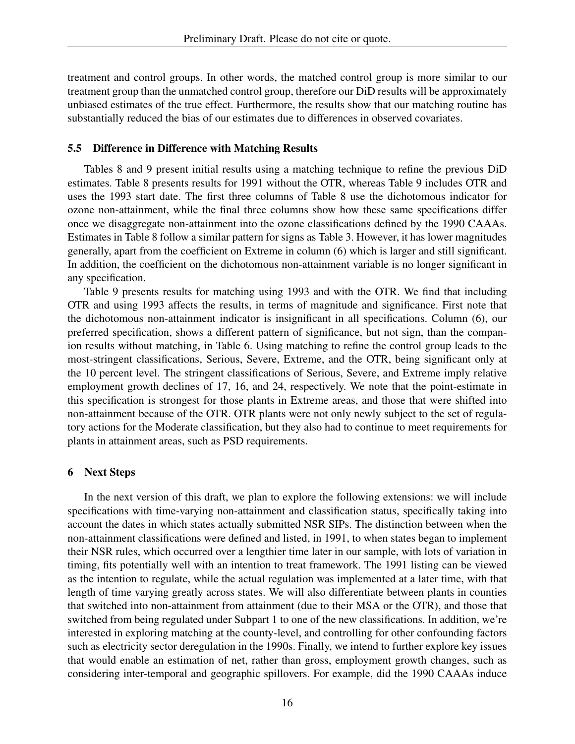treatment and control groups. In other words, the matched control group is more similar to our treatment group than the unmatched control group, therefore our DiD results will be approximately unbiased estimates of the true effect. Furthermore, the results show that our matching routine has substantially reduced the bias of our estimates due to differences in observed covariates.

## 5.5 Difference in Difference with Matching Results

Tables 8 and 9 present initial results using a matching technique to refine the previous DiD estimates. Table 8 presents results for 1991 without the OTR, whereas Table 9 includes OTR and uses the 1993 start date. The first three columns of Table 8 use the dichotomous indicator for ozone non-attainment, while the final three columns show how these same specifications differ once we disaggregate non-attainment into the ozone classifications defined by the 1990 CAAAs. Estimates in Table 8 follow a similar pattern for signs as Table 3. However, it has lower magnitudes generally, apart from the coefficient on Extreme in column (6) which is larger and still significant. In addition, the coefficient on the dichotomous non-attainment variable is no longer significant in any specification.

Table 9 presents results for matching using 1993 and with the OTR. We find that including OTR and using 1993 affects the results, in terms of magnitude and significance. First note that the dichotomous non-attainment indicator is insignificant in all specifications. Column (6), our preferred specification, shows a different pattern of significance, but not sign, than the companion results without matching, in Table 6. Using matching to refine the control group leads to the most-stringent classifications, Serious, Severe, Extreme, and the OTR, being significant only at the 10 percent level. The stringent classifications of Serious, Severe, and Extreme imply relative employment growth declines of 17, 16, and 24, respectively. We note that the point-estimate in this specification is strongest for those plants in Extreme areas, and those that were shifted into non-attainment because of the OTR. OTR plants were not only newly subject to the set of regulatory actions for the Moderate classification, but they also had to continue to meet requirements for plants in attainment areas, such as PSD requirements.

## 6 Next Steps

In the next version of this draft, we plan to explore the following extensions: we will include specifications with time-varying non-attainment and classification status, specifically taking into account the dates in which states actually submitted NSR SIPs. The distinction between when the non-attainment classifications were defined and listed, in 1991, to when states began to implement their NSR rules, which occurred over a lengthier time later in our sample, with lots of variation in timing, fits potentially well with an intention to treat framework. The 1991 listing can be viewed as the intention to regulate, while the actual regulation was implemented at a later time, with that length of time varying greatly across states. We will also differentiate between plants in counties that switched into non-attainment from attainment (due to their MSA or the OTR), and those that switched from being regulated under Subpart 1 to one of the new classifications. In addition, we're interested in exploring matching at the county-level, and controlling for other confounding factors such as electricity sector deregulation in the 1990s. Finally, we intend to further explore key issues that would enable an estimation of net, rather than gross, employment growth changes, such as considering inter-temporal and geographic spillovers. For example, did the 1990 CAAAs induce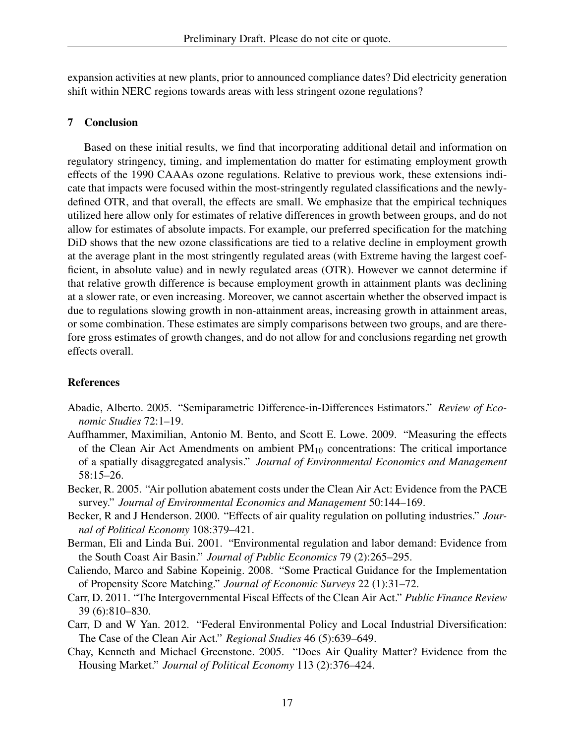expansion activities at new plants, prior to announced compliance dates? Did electricity generation shift within NERC regions towards areas with less stringent ozone regulations?

## 7 Conclusion

Based on these initial results, we find that incorporating additional detail and information on regulatory stringency, timing, and implementation do matter for estimating employment growth effects of the 1990 CAAAs ozone regulations. Relative to previous work, these extensions indicate that impacts were focused within the most-stringently regulated classifications and the newlydefined OTR, and that overall, the effects are small. We emphasize that the empirical techniques utilized here allow only for estimates of relative differences in growth between groups, and do not allow for estimates of absolute impacts. For example, our preferred specification for the matching DiD shows that the new ozone classifications are tied to a relative decline in employment growth at the average plant in the most stringently regulated areas (with Extreme having the largest coefficient, in absolute value) and in newly regulated areas (OTR). However we cannot determine if that relative growth difference is because employment growth in attainment plants was declining at a slower rate, or even increasing. Moreover, we cannot ascertain whether the observed impact is due to regulations slowing growth in non-attainment areas, increasing growth in attainment areas, or some combination. These estimates are simply comparisons between two groups, and are therefore gross estimates of growth changes, and do not allow for and conclusions regarding net growth effects overall.

## References

- Abadie, Alberto. 2005. "Semiparametric Difference-in-Differences Estimators." *Review of Economic Studies* 72:1–19.
- Auffhammer, Maximilian, Antonio M. Bento, and Scott E. Lowe. 2009. "Measuring the effects of the Clean Air Act Amendments on ambient  $PM_{10}$  concentrations: The critical importance of a spatially disaggregated analysis." *Journal of Environmental Economics and Management* 58:15–26.
- Becker, R. 2005. "Air pollution abatement costs under the Clean Air Act: Evidence from the PACE survey." *Journal of Environmental Economics and Management* 50:144–169.
- Becker, R and J Henderson. 2000. "Effects of air quality regulation on polluting industries." *Journal of Political Economy* 108:379–421.
- Berman, Eli and Linda Bui. 2001. "Environmental regulation and labor demand: Evidence from the South Coast Air Basin." *Journal of Public Economics* 79 (2):265–295.
- Caliendo, Marco and Sabine Kopeinig. 2008. "Some Practical Guidance for the Implementation of Propensity Score Matching." *Journal of Economic Surveys* 22 (1):31–72.
- Carr, D. 2011. "The Intergovernmental Fiscal Effects of the Clean Air Act." *Public Finance Review* 39 (6):810–830.
- Carr, D and W Yan. 2012. "Federal Environmental Policy and Local Industrial Diversification: The Case of the Clean Air Act." *Regional Studies* 46 (5):639–649.
- Chay, Kenneth and Michael Greenstone. 2005. "Does Air Quality Matter? Evidence from the Housing Market." *Journal of Political Economy* 113 (2):376–424.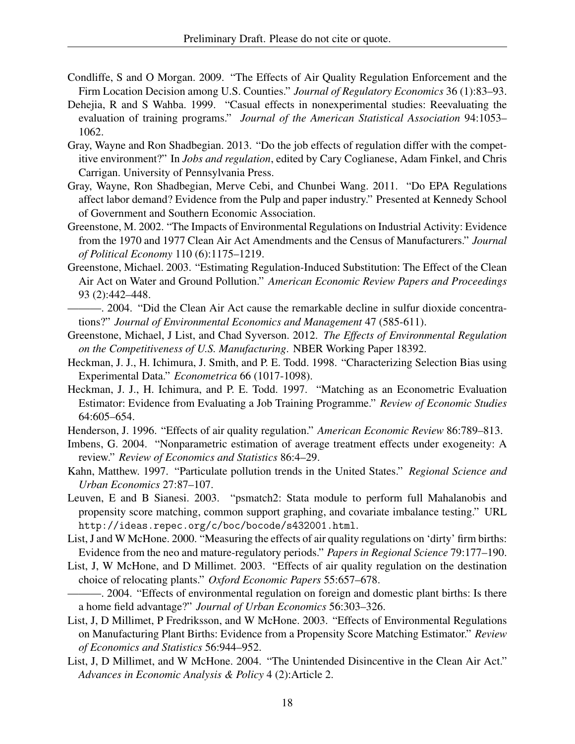- Condliffe, S and O Morgan. 2009. "The Effects of Air Quality Regulation Enforcement and the Firm Location Decision among U.S. Counties." *Journal of Regulatory Economics* 36 (1):83–93.
- Dehejia, R and S Wahba. 1999. "Casual effects in nonexperimental studies: Reevaluating the evaluation of training programs." *Journal of the American Statistical Association* 94:1053– 1062.
- Gray, Wayne and Ron Shadbegian. 2013. "Do the job effects of regulation differ with the competitive environment?" In *Jobs and regulation*, edited by Cary Coglianese, Adam Finkel, and Chris Carrigan. University of Pennsylvania Press.
- Gray, Wayne, Ron Shadbegian, Merve Cebi, and Chunbei Wang. 2011. "Do EPA Regulations affect labor demand? Evidence from the Pulp and paper industry." Presented at Kennedy School of Government and Southern Economic Association.
- Greenstone, M. 2002. "The Impacts of Environmental Regulations on Industrial Activity: Evidence from the 1970 and 1977 Clean Air Act Amendments and the Census of Manufacturers." *Journal of Political Economy* 110 (6):1175–1219.
- Greenstone, Michael. 2003. "Estimating Regulation-Induced Substitution: The Effect of the Clean Air Act on Water and Ground Pollution." *American Economic Review Papers and Proceedings* 93 (2):442–448.
- ———. 2004. "Did the Clean Air Act cause the remarkable decline in sulfur dioxide concentrations?" *Journal of Environmental Economics and Management* 47 (585-611).
- Greenstone, Michael, J List, and Chad Syverson. 2012. *The Effects of Environmental Regulation on the Competitiveness of U.S. Manufacturing*. NBER Working Paper 18392.
- Heckman, J. J., H. Ichimura, J. Smith, and P. E. Todd. 1998. "Characterizing Selection Bias using Experimental Data." *Econometrica* 66 (1017-1098).
- Heckman, J. J., H. Ichimura, and P. E. Todd. 1997. "Matching as an Econometric Evaluation Estimator: Evidence from Evaluating a Job Training Programme." *Review of Economic Studies* 64:605–654.
- Henderson, J. 1996. "Effects of air quality regulation." *American Economic Review* 86:789–813.
- Imbens, G. 2004. "Nonparametric estimation of average treatment effects under exogeneity: A review." *Review of Economics and Statistics* 86:4–29.
- Kahn, Matthew. 1997. "Particulate pollution trends in the United States." *Regional Science and Urban Economics* 27:87–107.
- Leuven, E and B Sianesi. 2003. "psmatch2: Stata module to perform full Mahalanobis and propensity score matching, common support graphing, and covariate imbalance testing." URL http://ideas.repec.org/c/boc/bocode/s432001.html.
- List, J and W McHone. 2000. "Measuring the effects of air quality regulations on 'dirty' firm births: Evidence from the neo and mature-regulatory periods." *Papers in Regional Science* 79:177–190.
- List, J, W McHone, and D Millimet. 2003. "Effects of air quality regulation on the destination choice of relocating plants." *Oxford Economic Papers* 55:657–678.
- ———. 2004. "Effects of environmental regulation on foreign and domestic plant births: Is there a home field advantage?" *Journal of Urban Economics* 56:303–326.
- List, J, D Millimet, P Fredriksson, and W McHone. 2003. "Effects of Environmental Regulations on Manufacturing Plant Births: Evidence from a Propensity Score Matching Estimator." *Review of Economics and Statistics* 56:944–952.
- List, J, D Millimet, and W McHone. 2004. "The Unintended Disincentive in the Clean Air Act." *Advances in Economic Analysis & Policy* 4 (2):Article 2.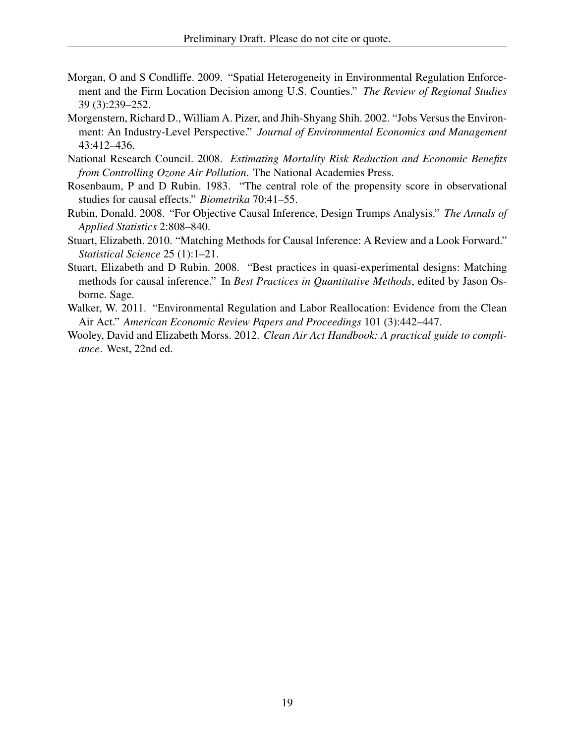- Morgan, O and S Condliffe. 2009. "Spatial Heterogeneity in Environmental Regulation Enforcement and the Firm Location Decision among U.S. Counties." *The Review of Regional Studies* 39 (3):239–252.
- Morgenstern, Richard D., William A. Pizer, and Jhih-Shyang Shih. 2002. "Jobs Versus the Environment: An Industry-Level Perspective." *Journal of Environmental Economics and Management* 43:412–436.
- National Research Council. 2008. *Estimating Mortality Risk Reduction and Economic Benefits from Controlling Ozone Air Pollution*. The National Academies Press.
- Rosenbaum, P and D Rubin. 1983. "The central role of the propensity score in observational studies for causal effects." *Biometrika* 70:41–55.
- Rubin, Donald. 2008. "For Objective Causal Inference, Design Trumps Analysis." *The Annals of Applied Statistics* 2:808–840.
- Stuart, Elizabeth. 2010. "Matching Methods for Causal Inference: A Review and a Look Forward." *Statistical Science* 25 (1):1–21.
- Stuart, Elizabeth and D Rubin. 2008. "Best practices in quasi-experimental designs: Matching methods for causal inference." In *Best Practices in Quantitative Methods*, edited by Jason Osborne. Sage.
- Walker, W. 2011. "Environmental Regulation and Labor Reallocation: Evidence from the Clean Air Act." *American Economic Review Papers and Proceedings* 101 (3):442–447.
- Wooley, David and Elizabeth Morss. 2012. *Clean Air Act Handbook: A practical guide to compliance*. West, 22nd ed.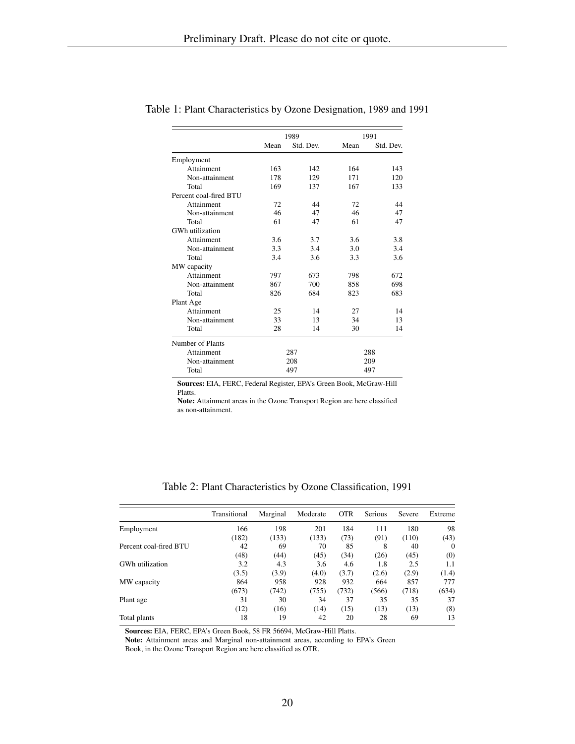|                        |      | 1989      | 1991 |           |  |
|------------------------|------|-----------|------|-----------|--|
|                        | Mean | Std. Dev. | Mean | Std. Dev. |  |
| Employment             |      |           |      |           |  |
| Attainment             | 163  | 142       | 164  | 143       |  |
| Non-attainment         | 178  | 129       | 171  | 120       |  |
| Total                  | 169  | 137       | 167  | 133       |  |
| Percent coal-fired BTU |      |           |      |           |  |
| Attainment             | 72   | 44        | 72   | 44        |  |
| Non-attainment         | 46   | 47        | 46   | 47        |  |
| Total                  | 61   | 47        | 61   | 47        |  |
| GWh utilization        |      |           |      |           |  |
| Attainment             | 3.6  | 3.7       | 3.6  | 3.8       |  |
| Non-attainment         | 3.3  | 3.4       | 3.0  | 3.4       |  |
| Total                  | 3.4  | 3.6       | 3.3  | 3.6       |  |
| MW capacity            |      |           |      |           |  |
| Attainment             | 797  | 673       | 798  | 672       |  |
| Non-attainment         | 867  | 700       | 858  | 698       |  |
| Total                  | 826  | 684       | 823  | 683       |  |
| Plant Age              |      |           |      |           |  |
| Attainment             | 25   | 14        | 27   | 14        |  |
| Non-attainment         | 33   | 13        | 34   | 13        |  |
| Total                  | 28   | 14        | 30   | 14        |  |
| Number of Plants       |      |           |      |           |  |
| Attainment             |      | 287       |      | 288       |  |
| Non-attainment         |      | 208       | 209  |           |  |
| Total                  |      | 497       |      | 497       |  |

Table 1: Plant Characteristics by Ozone Designation, 1989 and 1991

Sources: EIA, FERC, Federal Register, EPA's Green Book, McGraw-Hill Platts.

Note: Attainment areas in the Ozone Transport Region are here classified as non-attainment.

Table 2: Plant Characteristics by Ozone Classification, 1991

|                        | Transitional | Marginal | Moderate | <b>OTR</b> | <b>Serious</b> | Severe | Extreme  |
|------------------------|--------------|----------|----------|------------|----------------|--------|----------|
| Employment             | 166          | 198      | 201      | 184        | 111            | 180    | 98       |
|                        | (182)        | (133)    | (133)    | (73)       | (91)           | (110)  | (43)     |
| Percent coal-fired BTU | 42           | 69       | 70       | 85         | 8              | 40     | $\Omega$ |
|                        | (48)         | (44)     | (45)     | (34)       | (26)           | (45)   | (0)      |
| GWh utilization        | 3.2          | 4.3      | 3.6      | 4.6        | 1.8            | 2.5    | 1.1      |
|                        | (3.5)        | (3.9)    | (4.0)    | (3.7)      | (2.6)          | (2.9)  | (1.4)    |
| MW capacity            | 864          | 958      | 928      | 932        | 664            | 857    | 777      |
|                        | (673)        | (742)    | (755)    | (732)      | (566)          | (718)  | (634)    |
| Plant age              | 31           | 30       | 34       | 37         | 35             | 35     | 37       |
|                        | (12)         | (16)     | (14)     | (15)       | (13)           | (13)   | (8)      |
| Total plants           | 18           | 19       | 42       | 20         | 28             | 69     | 13       |

Sources: EIA, FERC, EPA's Green Book, 58 FR 56694, McGraw-Hill Platts.

Note: Attainment areas and Marginal non-attainment areas, according to EPA's Green

Book, in the Ozone Transport Region are here classified as OTR.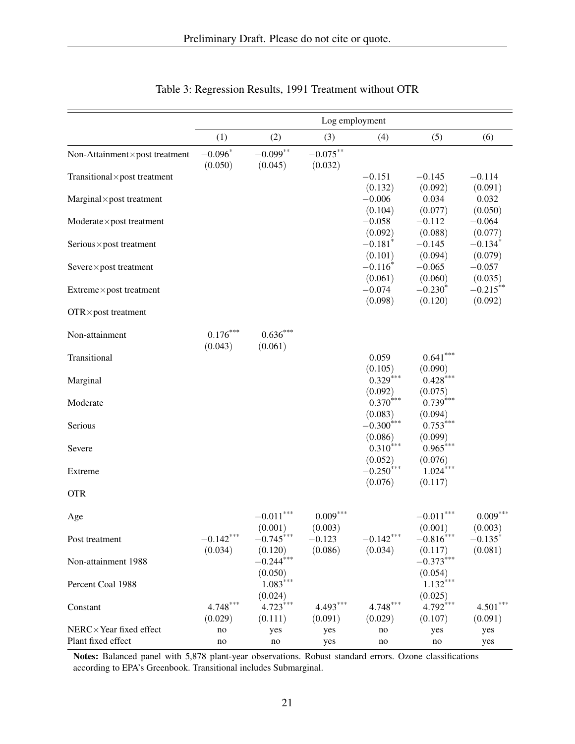|                                              | Log employment        |                         |                        |                           |                         |                        |  |
|----------------------------------------------|-----------------------|-------------------------|------------------------|---------------------------|-------------------------|------------------------|--|
|                                              | (1)                   | (2)                     | (3)                    | (4)                       | (5)                     | (6)                    |  |
| Non-Attainment×post treatment                | $-0.096*$<br>(0.050)  | $-0.099**$<br>(0.045)   | $-0.075***$<br>(0.032) |                           |                         |                        |  |
| Transitional × post treatment                |                       |                         |                        | $-0.151$                  | $-0.145$                | $-0.114$               |  |
|                                              |                       |                         |                        | (0.132)                   | (0.092)                 | (0.091)                |  |
| $Marginal \times post treatment$             |                       |                         |                        | $-0.006$<br>(0.104)       | 0.034<br>(0.077)        | 0.032<br>(0.050)       |  |
| $Modern$ te $\times$ post treatment          |                       |                         |                        | $-0.058$                  | $-0.112$                | $-0.064$               |  |
|                                              |                       |                         |                        | (0.092)                   | (0.088)                 | (0.077)                |  |
| Serious×post treatment                       |                       |                         |                        | $-0.181*$                 | $-0.145$                | $-0.134*$              |  |
|                                              |                       |                         |                        | (0.101)                   | (0.094)                 | (0.079)                |  |
| Severe×post treatment                        |                       |                         |                        | $-0.116^*$                | $-0.065$                | $-0.057$               |  |
|                                              |                       |                         |                        | (0.061)                   | (0.060)<br>$-0.230*$    | (0.035)                |  |
| Extreme×post treatment                       |                       |                         |                        | $-0.074$<br>(0.098)       | (0.120)                 | $-0.215***$<br>(0.092) |  |
| $OTR \times post treatment$                  |                       |                         |                        |                           |                         |                        |  |
| Non-attainment                               | $0.176***$<br>(0.043) | $0.636***$<br>(0.061)   |                        |                           |                         |                        |  |
| Transitional                                 |                       |                         |                        | 0.059                     | $0.641***$              |                        |  |
|                                              |                       |                         |                        | (0.105)                   | (0.090)                 |                        |  |
| Marginal                                     |                       |                         |                        | $0.329***$                | $0.428***$              |                        |  |
|                                              |                       |                         |                        | (0.092)                   | (0.075)                 |                        |  |
| Moderate                                     |                       |                         |                        | $0.370***$                | $0.739***$              |                        |  |
|                                              |                       |                         |                        | (0.083)<br>$-0.300^{***}$ | (0.094)<br>$0.753***$   |                        |  |
| Serious                                      |                       |                         |                        | (0.086)                   | (0.099)                 |                        |  |
| Severe                                       |                       |                         |                        | $0.310^{***}$             | $0.965***$              |                        |  |
|                                              |                       |                         |                        | (0.052)                   | (0.076)                 |                        |  |
| Extreme                                      |                       |                         |                        | $-0.250$ ***              | $1.024***$              |                        |  |
|                                              |                       |                         |                        | (0.076)                   | (0.117)                 |                        |  |
| <b>OTR</b>                                   |                       |                         |                        |                           |                         |                        |  |
| Age                                          |                       | ***<br>$-0.011$         | $0.009***$             |                           | $-0.011***$             | $0.009^{***}\,$        |  |
| Post treatment                               | $-0.142***$           | (0.001)<br>$-0.745***$  | (0.003)<br>$-0.123$    | $-0.142***$               | (0.001)<br>$-0.816$ *** | (0.003)<br>$-0.135*$   |  |
|                                              | (0.034)               | (0.120)                 | (0.086)                | (0.034)                   | (0.117)                 | (0.081)                |  |
| Non-attainment 1988                          |                       | $-0.244$ <sup>***</sup> |                        |                           | $-0.373***$             |                        |  |
|                                              |                       | (0.050)                 |                        |                           | (0.054)                 |                        |  |
| Percent Coal 1988                            |                       | $1.083***$              |                        |                           | $1.132***$              |                        |  |
|                                              |                       | (0.024)                 |                        |                           | (0.025)                 |                        |  |
| Constant                                     | $4.748***$            | $4.723***$              | $4.493***$             | $4.748***$                | $4.792***$              | $4.501^{***}$          |  |
|                                              | (0.029)               | (0.111)                 | (0.091)                | (0.029)                   | (0.107)                 | (0.091)                |  |
| NERC×Year fixed effect<br>Plant fixed effect | no                    | yes                     | yes                    | no                        | yes                     | yes                    |  |
|                                              | no                    | no                      | yes                    | no                        | no                      | yes                    |  |

# Table 3: Regression Results, 1991 Treatment without OTR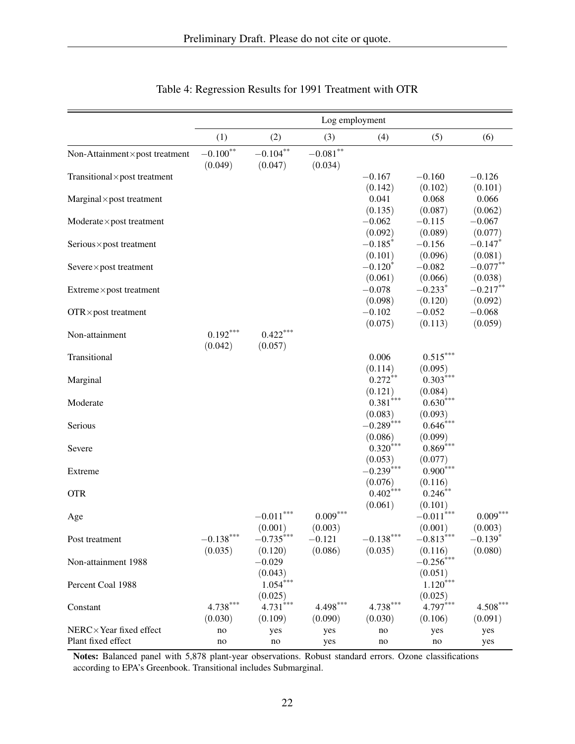|                                     | Log employment         |                        |                                |                        |                       |                       |  |
|-------------------------------------|------------------------|------------------------|--------------------------------|------------------------|-----------------------|-----------------------|--|
|                                     | (1)                    | (2)                    | (3)                            | (4)                    | (5)                   | (6)                   |  |
| Non-Attainment×post treatment       | $-0.100***$<br>(0.049) | $-0.104***$<br>(0.047) | $-0.081^{\ast\ast}$<br>(0.034) |                        |                       |                       |  |
| Transitional×post treatment         |                        |                        |                                | $-0.167$               | $-0.160$              | $-0.126$              |  |
|                                     |                        |                        |                                | (0.142)                | (0.102)               | (0.101)               |  |
| $Marginal \times post treatment$    |                        |                        |                                | 0.041                  | 0.068                 | 0.066                 |  |
|                                     |                        |                        |                                | (0.135)                | (0.087)               | (0.062)               |  |
| $Modern$ te $\times$ post treatment |                        |                        |                                | $-0.062$               | $-0.115$              | $-0.067$              |  |
|                                     |                        |                        |                                | (0.092)                | (0.089)               | (0.077)               |  |
| Serious×post treatment              |                        |                        |                                | $-0.185*$              | $-0.156$              | $-0.147*$             |  |
|                                     |                        |                        |                                | (0.101)<br>$-0.120*$   | (0.096)<br>$-0.082$   | (0.081)<br>$-0.077**$ |  |
| Severe×post treatment               |                        |                        |                                | (0.061)                | (0.066)               | (0.038)               |  |
| Extreme×post treatment              |                        |                        |                                | $-0.078$               | $-0.233*$             | $-0.217***$           |  |
|                                     |                        |                        |                                | (0.098)                | (0.120)               | (0.092)               |  |
| $OTR \times post treatment$         |                        |                        |                                | $-0.102$               | $-0.052$              | $-0.068$              |  |
|                                     |                        |                        |                                | (0.075)                | (0.113)               | (0.059)               |  |
| Non-attainment                      | $0.192***$             | $0.422***$             |                                |                        |                       |                       |  |
|                                     | (0.042)                | (0.057)                |                                |                        |                       |                       |  |
| Transitional                        |                        |                        |                                | 0.006                  | $0.515***$            |                       |  |
|                                     |                        |                        |                                | (0.114)                | (0.095)               |                       |  |
| Marginal                            |                        |                        |                                | $0.272**$              | $0.303***$            |                       |  |
|                                     |                        |                        |                                | (0.121)                | (0.084)               |                       |  |
| Moderate                            |                        |                        |                                | $0.381***$             | $0.630***$            |                       |  |
|                                     |                        |                        |                                | (0.083)                | (0.093)               |                       |  |
| Serious                             |                        |                        |                                | $-0.289***$            | $0.646***$            |                       |  |
|                                     |                        |                        |                                | (0.086)                | (0.099)               |                       |  |
| Severe                              |                        |                        |                                | $0.320***$             | $0.869***$            |                       |  |
|                                     |                        |                        |                                | (0.053)<br>$-0.239***$ | (0.077)<br>$0.900***$ |                       |  |
| Extreme                             |                        |                        |                                | (0.076)                |                       |                       |  |
| <b>OTR</b>                          |                        |                        |                                | $0.402$ <sup>***</sup> | (0.116)<br>$0.246**$  |                       |  |
|                                     |                        |                        |                                | (0.061)                | (0.101)               |                       |  |
| Age                                 |                        | $-0.011$               | $0.009^{***}\,$                |                        | $-0.011***$           | $0.009^{***}\,$       |  |
|                                     |                        | (0.001)                | (0.003)                        |                        | (0.001)               | (0.003)               |  |
| Post treatment                      | $-0.138***$            | $-0.735***$            | $-0.121$                       | $-0.138***$            | $-0.813***$           | $-0.139*$             |  |
|                                     | (0.035)                | (0.120)                | (0.086)                        | (0.035)                | (0.116)               | (0.080)               |  |
| Non-attainment 1988                 |                        | $-0.029$               |                                |                        | $-0.256$ ***          |                       |  |
|                                     |                        | (0.043)                |                                |                        | (0.051)               |                       |  |
| Percent Coal 1988                   |                        | $1.054***$             |                                |                        | $1.120***$            |                       |  |
|                                     |                        | (0.025)                |                                |                        | (0.025)               |                       |  |
| Constant                            | $4.738***$             | $4.731***$             | $4.498***$                     | $4.738***$             | $4.797***$            | $4.508***$            |  |
|                                     | (0.030)                | (0.109)                | (0.090)                        | (0.030)                | (0.106)               | (0.091)               |  |
| NERC×Year fixed effect              | no                     | yes                    | yes                            | no                     | yes                   | yes                   |  |
| Plant fixed effect                  | no                     | no                     | yes                            | no                     | no                    | yes                   |  |

# Table 4: Regression Results for 1991 Treatment with OTR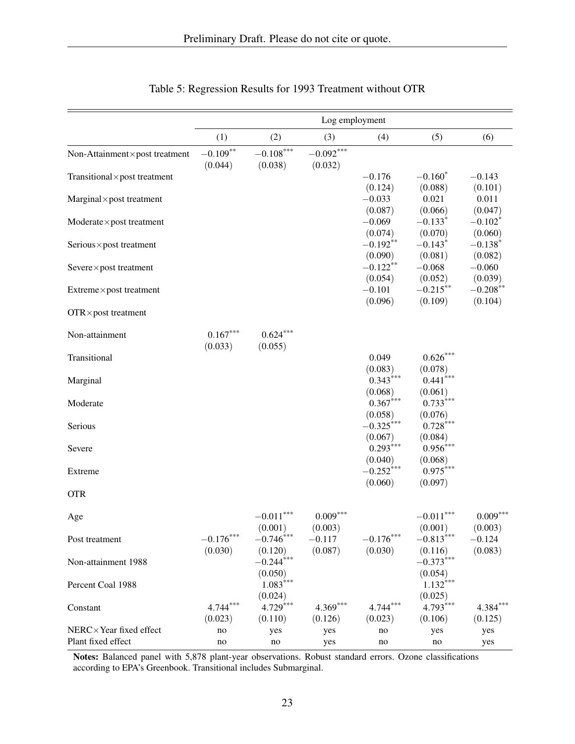|                                              | Log employment         |                                  |                        |                         |                                |                        |  |
|----------------------------------------------|------------------------|----------------------------------|------------------------|-------------------------|--------------------------------|------------------------|--|
|                                              | (1)                    | (2)                              | (3)                    | (4)                     | (5)                            | (6)                    |  |
| Non-Attainment×post treatment                | $-0.109***$<br>(0.044) | $-0.108***$<br>(0.038)           | $-0.092***$<br>(0.032) |                         |                                |                        |  |
| Transitional × post treatment                |                        |                                  |                        | $-0.176$                | $-0.160*$                      | $-0.143$               |  |
| $Marginal \times post treatment$             |                        |                                  |                        | (0.124)<br>$-0.033$     | (0.088)<br>0.021               | (0.101)<br>0.011       |  |
| $Modern$ te $\times$ post treatment          |                        |                                  |                        | (0.087)<br>$-0.069$     | (0.066)<br>$-0.133*$           | (0.047)<br>$-0.102*$   |  |
| Serious×post treatment                       |                        |                                  |                        | (0.074)<br>$-0.192**$   | (0.070)<br>$-0.143*$           | (0.060)<br>$-0.138*$   |  |
| Severe×post treatment                        |                        |                                  |                        | (0.090)<br>$-0.122**$   | (0.081)<br>$-0.068$            | (0.082)<br>$-0.060$    |  |
| Extreme×post treatment                       |                        |                                  |                        | (0.054)<br>$-0.101$     | (0.052)<br>$-0.215***$         | (0.039)<br>$-0.208***$ |  |
| $OTR \times post treatment$                  |                        |                                  |                        | (0.096)                 | (0.109)                        | (0.104)                |  |
| Non-attainment                               | $0.167***$<br>(0.033)  | $0.624***$<br>(0.055)            |                        |                         |                                |                        |  |
| Transitional                                 |                        |                                  |                        | 0.049                   | $0.626***$                     |                        |  |
| Marginal                                     |                        |                                  |                        | (0.083)<br>$0.343***$   | (0.078)<br>$0.441***$          |                        |  |
| Moderate                                     |                        |                                  |                        | (0.068)<br>$0.367***$   | (0.061)<br>$0.733***$          |                        |  |
| Serious                                      |                        |                                  |                        | (0.058)<br>$-0.325***$  | (0.076)<br>$0.728***$          |                        |  |
| Severe                                       |                        |                                  |                        | (0.067)<br>$0.293***$   | (0.084)<br>$0.956***$          |                        |  |
| Extreme                                      |                        |                                  |                        | (0.040)<br>$-0.252***$  | (0.068)<br>$0.975***$          |                        |  |
| <b>OTR</b>                                   |                        |                                  |                        | (0.060)                 | (0.097)                        |                        |  |
| Age                                          |                        | $-0.011***$                      | $0.009***$             |                         | $-0.011***$                    | $0.009***$             |  |
| Post treatment                               | $-0.176***$            | (0.001)<br>$-0.746$ ***          | (0.003)<br>$-0.117$    | $-0.176^{\ast\ast\ast}$ | (0.001)<br>$-0.813***$         | (0.003)<br>$-0.124$    |  |
| Non-attainment 1988                          | (0.030)                | (0.120)<br>$-0.244***$           | (0.087)                | (0.030)                 | (0.116)<br>$-0.373***$         | (0.083)                |  |
| Percent Coal 1988                            |                        | (0.050)<br>$1.083***$            |                        |                         | (0.054)<br>$1.132***$          |                        |  |
| Constant                                     | $4.744***$<br>(0.023)  | (0.024)<br>$4.729***$<br>(0.110) | $4.369***$<br>(0.126)  | $4.744***$<br>(0.023)   | (0.025)<br>4.793***<br>(0.106) | $4.384***$<br>(0.125)  |  |
| NERC×Year fixed effect<br>Plant fixed effect | no<br>no               | yes<br>no                        | yes<br>yes             | no<br>no                | yes<br>no                      | yes<br>yes             |  |

# Table 5: Regression Results for 1993 Treatment without OTR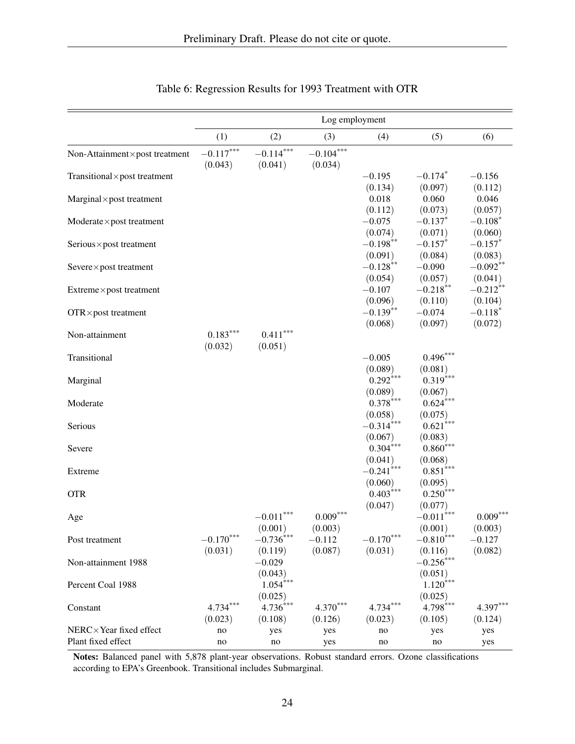|                                     | Log employment |                          |             |              |                         |            |  |
|-------------------------------------|----------------|--------------------------|-------------|--------------|-------------------------|------------|--|
|                                     | (1)            | (2)                      | (3)         | (4)          | (5)                     | (6)        |  |
| Non-Attainment×post treatment       | $-0.117***$    | $-0.114***$              | $-0.104***$ |              |                         |            |  |
|                                     | (0.043)        | (0.041)                  | (0.034)     |              |                         |            |  |
| Transitional×post treatment         |                |                          |             | $-0.195$     | $-0.174*$               | $-0.156$   |  |
|                                     |                |                          |             | (0.134)      | (0.097)                 | (0.112)    |  |
| $Marginal \times post treatment$    |                |                          |             | 0.018        | 0.060                   | 0.046      |  |
|                                     |                |                          |             | (0.112)      | (0.073)                 | (0.057)    |  |
| $Modern$ te $\times$ post treatment |                |                          |             | $-0.075$     | $-0.137$ *              | $-0.108*$  |  |
|                                     |                |                          |             | (0.074)      | (0.071)                 | (0.060)    |  |
| Serious×post treatment              |                |                          |             | $-0.198***$  | $-0.157*$               | $-0.157*$  |  |
|                                     |                |                          |             | (0.091)      | (0.084)                 | (0.083)    |  |
| Severe×post treatment               |                |                          |             | $-0.128***$  | $-0.090$                | $-0.092**$ |  |
|                                     |                |                          |             | (0.054)      | (0.057)                 | (0.041)    |  |
| Extreme×post treatment              |                |                          |             | $-0.107$     | $-0.218***$             | $-0.212**$ |  |
|                                     |                |                          |             | (0.096)      | (0.110)                 | (0.104)    |  |
| $OTR \times post treatment$         |                |                          |             | $-0.139***$  | $-0.074$                | $-0.118*$  |  |
|                                     |                |                          |             | (0.068)      | (0.097)                 | (0.072)    |  |
| Non-attainment                      | $0.183***$     | $0.411***$               |             |              |                         |            |  |
|                                     | (0.032)        | (0.051)                  |             |              |                         |            |  |
| Transitional                        |                |                          |             | $-0.005$     | $0.496***$              |            |  |
|                                     |                |                          |             | (0.089)      | (0.081)                 |            |  |
| Marginal                            |                |                          |             | $0.292***$   | $0.319***$              |            |  |
|                                     |                |                          |             | (0.089)      | (0.067)                 |            |  |
| Moderate                            |                |                          |             | $0.378***$   | $0.624***$              |            |  |
|                                     |                |                          |             | (0.058)      | (0.075)                 |            |  |
| Serious                             |                |                          |             | $-0.314***$  | $0.621***$              |            |  |
|                                     |                |                          |             | (0.067)      | (0.083)                 |            |  |
| Severe                              |                |                          |             | $0.304***$   | $0.860***$              |            |  |
|                                     |                |                          |             | (0.041)      | (0.068)                 |            |  |
| Extreme                             |                |                          |             | $-0.241$ *** | $0.851***$              |            |  |
|                                     |                |                          |             | (0.060)      | (0.095)                 |            |  |
| <b>OTR</b>                          |                |                          |             | $0.403***$   | $0.250***$              |            |  |
|                                     |                |                          | $0.009***$  | (0.047)      | (0.077)                 | $0.009***$ |  |
| Age                                 |                | $-0.011$                 |             |              | $-0.011***$             |            |  |
|                                     |                | (0.001)                  | (0.003)     | $-0.170***$  | (0.001)                 | (0.003)    |  |
| Post treatment                      | $-0.170***$    | $-0.736***$              | $-0.112$    |              | $-0.810***$             | $-0.127$   |  |
|                                     | (0.031)        | (0.119)                  | (0.087)     | (0.031)      | (0.116)<br>$-0.256$ *** | (0.082)    |  |
| Non-attainment 1988                 |                | $-0.029$                 |             |              |                         |            |  |
|                                     |                | (0.043)<br>$1.054***$    |             |              | (0.051)<br>$1.120***$   |            |  |
| Percent Coal 1988                   |                |                          |             |              |                         |            |  |
|                                     | $4.734***$     | (0.025)<br>$4.736^{4**}$ | $4.370***$  | $4.734***$   | (0.025)<br>$4.798***$   | $4.397***$ |  |
| Constant                            |                |                          |             |              |                         |            |  |
| NERC×Year fixed effect              | (0.023)        | (0.108)                  | (0.126)     | (0.023)      | (0.105)                 | (0.124)    |  |
| Plant fixed effect                  | no             | yes                      | yes         | no           | yes                     | yes        |  |
|                                     | no             | no                       | yes         | no           | no                      | yes        |  |

# Table 6: Regression Results for 1993 Treatment with OTR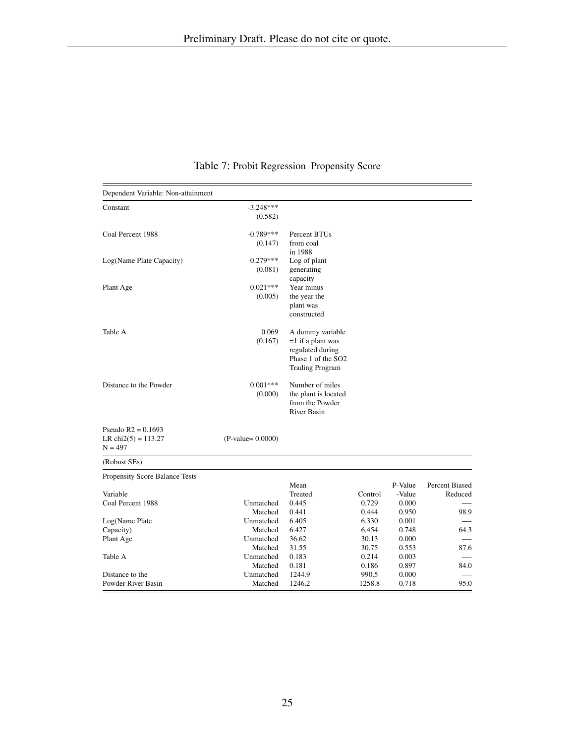| Dependent Variable: Non-attainment                          |                        |                                                                                                             |                  |                            |                           |
|-------------------------------------------------------------|------------------------|-------------------------------------------------------------------------------------------------------------|------------------|----------------------------|---------------------------|
| Constant                                                    | $-3.248***$<br>(0.582) |                                                                                                             |                  |                            |                           |
| Coal Percent 1988                                           | $-0.789***$<br>(0.147) | Percent BTUs<br>from coal<br>in 1988                                                                        |                  |                            |                           |
| Log(Name Plate Capacity)                                    | $0.279***$<br>(0.081)  | Log of plant<br>generating<br>capacity                                                                      |                  |                            |                           |
| Plant Age                                                   | $0.021***$<br>(0.005)  | Year minus<br>the year the<br>plant was<br>constructed                                                      |                  |                            |                           |
| Table A                                                     | 0.069<br>(0.167)       | A dummy variable<br>$=1$ if a plant was<br>regulated during<br>Phase 1 of the SO2<br><b>Trading Program</b> |                  |                            |                           |
| Distance to the Powder                                      | $0.001***$<br>(0.000)  | Number of miles<br>the plant is located<br>from the Powder<br><b>River Basin</b>                            |                  |                            |                           |
| Pseudo $R2 = 0.1693$<br>LR chi $2(5) = 113.27$<br>$N = 497$ | $(P-value = 0.0000)$   |                                                                                                             |                  |                            |                           |
| (Robust SEs)                                                |                        |                                                                                                             |                  |                            |                           |
| Propensity Score Balance Tests                              |                        |                                                                                                             |                  |                            |                           |
| Variable<br>Coal Percent 1988                               | Unmatched              | Mean<br>Treated<br>0.445                                                                                    | Control<br>0.729 | P-Value<br>-Value<br>0.000 | Percent Biased<br>Reduced |
| Log(Name Plate                                              | Matched<br>Unmatched   | 0.441<br>6.405                                                                                              | 0.444<br>6.330   | 0.950<br>0.001             | 98.9                      |
| Capacity)                                                   | Matched                | 6.427                                                                                                       | 6.454            | 0.748                      | 64.3                      |
| Plant Age                                                   | Unmatched              | 36.62                                                                                                       | 30.13            | 0.000                      |                           |
|                                                             | Matched                | 31.55                                                                                                       | 30.75            | 0.553                      | 87.6                      |
| Table A                                                     | Unmatched              | 0.183                                                                                                       | 0.214            | 0.003                      |                           |
|                                                             | Matched                | 0.181                                                                                                       | 0.186            | 0.897                      | 84.0                      |
| Distance to the<br>Powder River Basin                       | Unmatched<br>Matched   | 1244.9<br>1246.2                                                                                            | 990.5<br>1258.8  | 0.000<br>0.718             | 95.0                      |
|                                                             |                        |                                                                                                             |                  |                            |                           |

Table 7: Probit Regression Propensity Score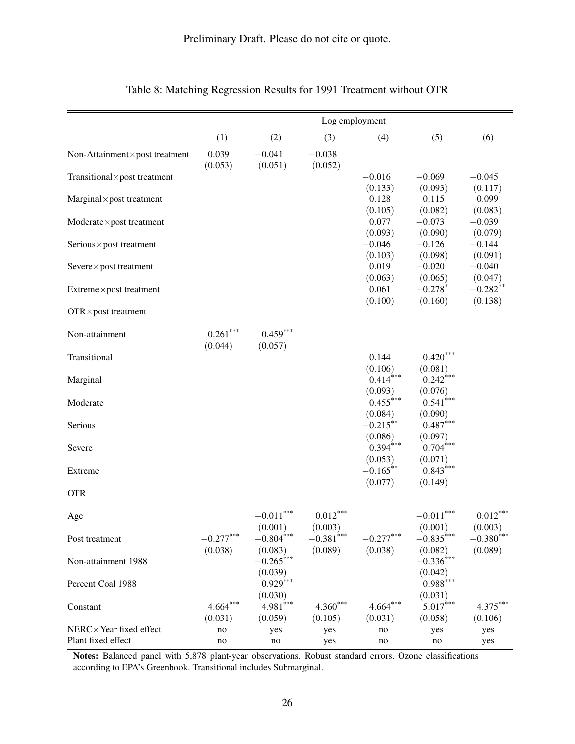|                                     | Log employment        |                        |                         |                        |                         |                       |  |
|-------------------------------------|-----------------------|------------------------|-------------------------|------------------------|-------------------------|-----------------------|--|
|                                     | (1)                   | (2)                    | (3)                     | (4)                    | (5)                     | (6)                   |  |
| Non-Attainment×post treatment       | 0.039<br>(0.053)      | $-0.041$<br>(0.051)    | $-0.038$<br>(0.052)     |                        |                         |                       |  |
| Transitional × post treatment       |                       |                        |                         | $-0.016$               | $-0.069$                | $-0.045$              |  |
| $Marginal \times post treatment$    |                       |                        |                         | (0.133)<br>0.128       | (0.093)<br>0.115        | (0.117)<br>0.099      |  |
|                                     |                       |                        |                         | (0.105)                | (0.082)                 | (0.083)               |  |
| $Modern$ te $\times$ post treatment |                       |                        |                         | 0.077                  | $-0.073$                | $-0.039$              |  |
|                                     |                       |                        |                         | (0.093)                | (0.090)                 | (0.079)               |  |
| Serious×post treatment              |                       |                        |                         | $-0.046$               | $-0.126$                | $-0.144$              |  |
| Severe×post treatment               |                       |                        |                         | (0.103)<br>0.019       | (0.098)<br>$-0.020$     | (0.091)<br>$-0.040$   |  |
|                                     |                       |                        |                         | (0.063)                | (0.065)                 | (0.047)               |  |
| Extreme×post treatment              |                       |                        |                         | 0.061                  | $-0.278*$               | $-0.282**$            |  |
| $OTR \times post treatment$         |                       |                        |                         | (0.100)                | (0.160)                 | (0.138)               |  |
| Non-attainment                      | $0.261***$<br>(0.044) | $0.459***$<br>(0.057)  |                         |                        |                         |                       |  |
| Transitional                        |                       |                        |                         | 0.144                  | $0.420***$              |                       |  |
|                                     |                       |                        |                         | (0.106)                | (0.081)                 |                       |  |
| Marginal                            |                       |                        |                         | $0.414***$             | $0.242***$              |                       |  |
| Moderate                            |                       |                        |                         | (0.093)<br>$0.455***$  | (0.076)<br>$0.541***$   |                       |  |
|                                     |                       |                        |                         | (0.084)                | (0.090)                 |                       |  |
| Serious                             |                       |                        |                         | $-0.215**$             | $0.487***$              |                       |  |
|                                     |                       |                        |                         | (0.086)                | (0.097)                 |                       |  |
| Severe                              |                       |                        |                         | $0.394***$             | $0.704***$              |                       |  |
| Extreme                             |                       |                        |                         | (0.053)<br>$-0.165***$ | (0.071)<br>$0.843***$   |                       |  |
|                                     |                       |                        |                         | (0.077)                | (0.149)                 |                       |  |
| <b>OTR</b>                          |                       |                        |                         |                        |                         |                       |  |
| Age                                 |                       | $-0.011***$<br>(0.001) | $0.012***$<br>(0.003)   |                        | $-0.011***$<br>(0.001)  | $0.012***$<br>(0.003) |  |
| Post treatment                      | $-0.277***$           | $-0.804$ ***           | $-0.381$ <sup>***</sup> | $-0.277***$            | $-0.835^{***}$          | $-0.380^{***}$        |  |
| Non-attainment 1988                 | (0.038)               | (0.083)<br>$-0.265***$ | (0.089)                 | (0.038)                | (0.082)<br>$-0.336$ *** | (0.089)               |  |
|                                     |                       | (0.039)                |                         |                        | (0.042)                 |                       |  |
| Percent Coal 1988                   |                       | $0.929***$             |                         |                        | $0.988***$              |                       |  |
|                                     |                       | (0.030)                |                         |                        | (0.031)                 |                       |  |
| Constant                            | $4.664***$            | $4.981$ <sup>***</sup> | $4.360***$              | $4.664***$             | $5.017***$              | $4.375***$            |  |
| NERC×Year fixed effect              | (0.031)<br>no         | (0.059)<br>yes         | (0.105)<br>yes          | (0.031)<br>no          | (0.058)<br>yes          | (0.106)<br>yes        |  |
| Plant fixed effect                  | no                    | no                     | yes                     | no                     | no                      | yes                   |  |

# Table 8: Matching Regression Results for 1991 Treatment without OTR